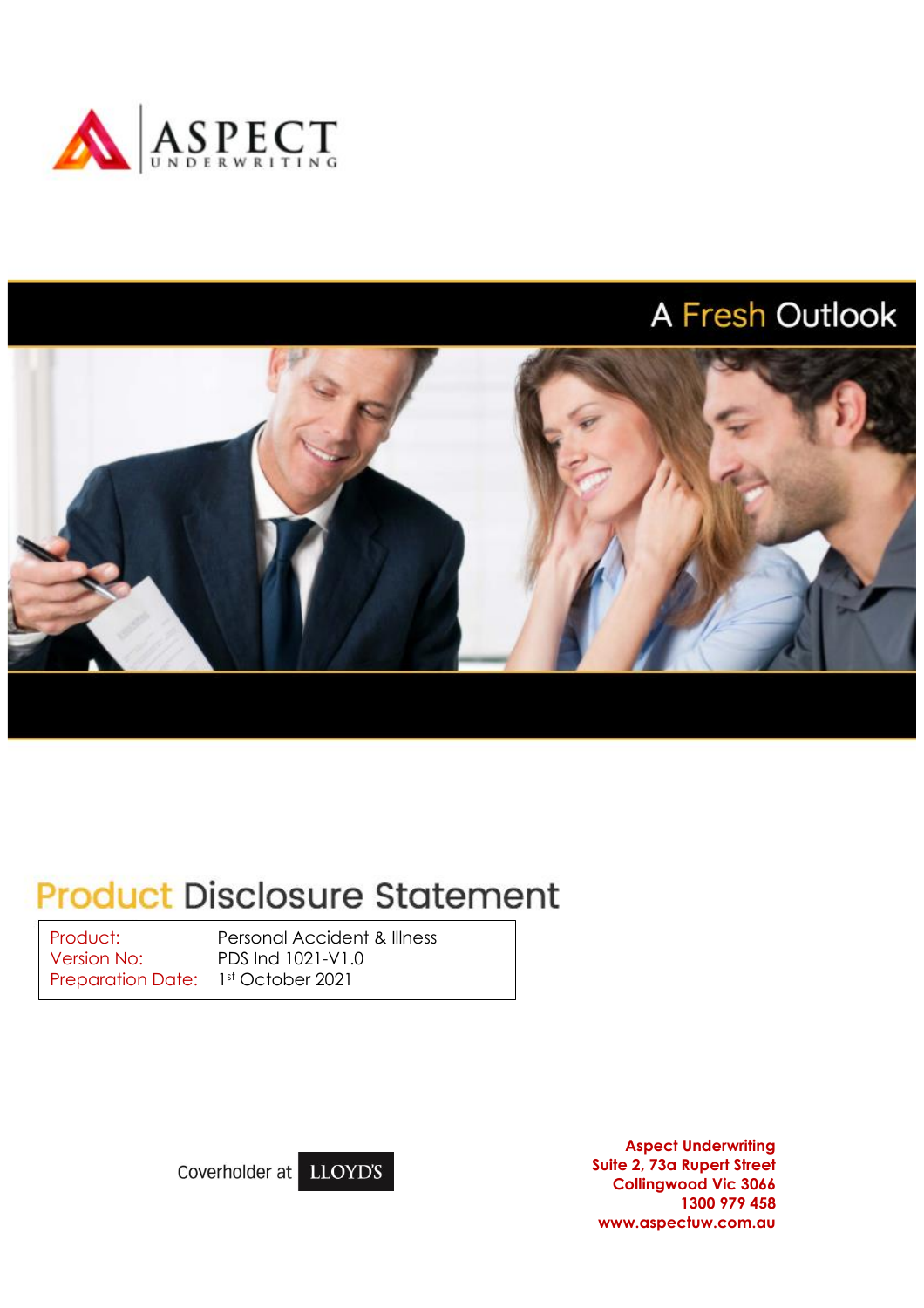

# A Fresh Outlook



# **Product Disclosure Statement**

Version No: PDS Ind 1021-V1.0 Preparation Date: 1st October 2021

Product: Personal Accident & Illness

Coverholder at LLOYD'S

**Aspect Underwriting Suite 2, 73a Rupert Street Collingwood Vic 3066 1300 979 458 www.aspectuw.com.au**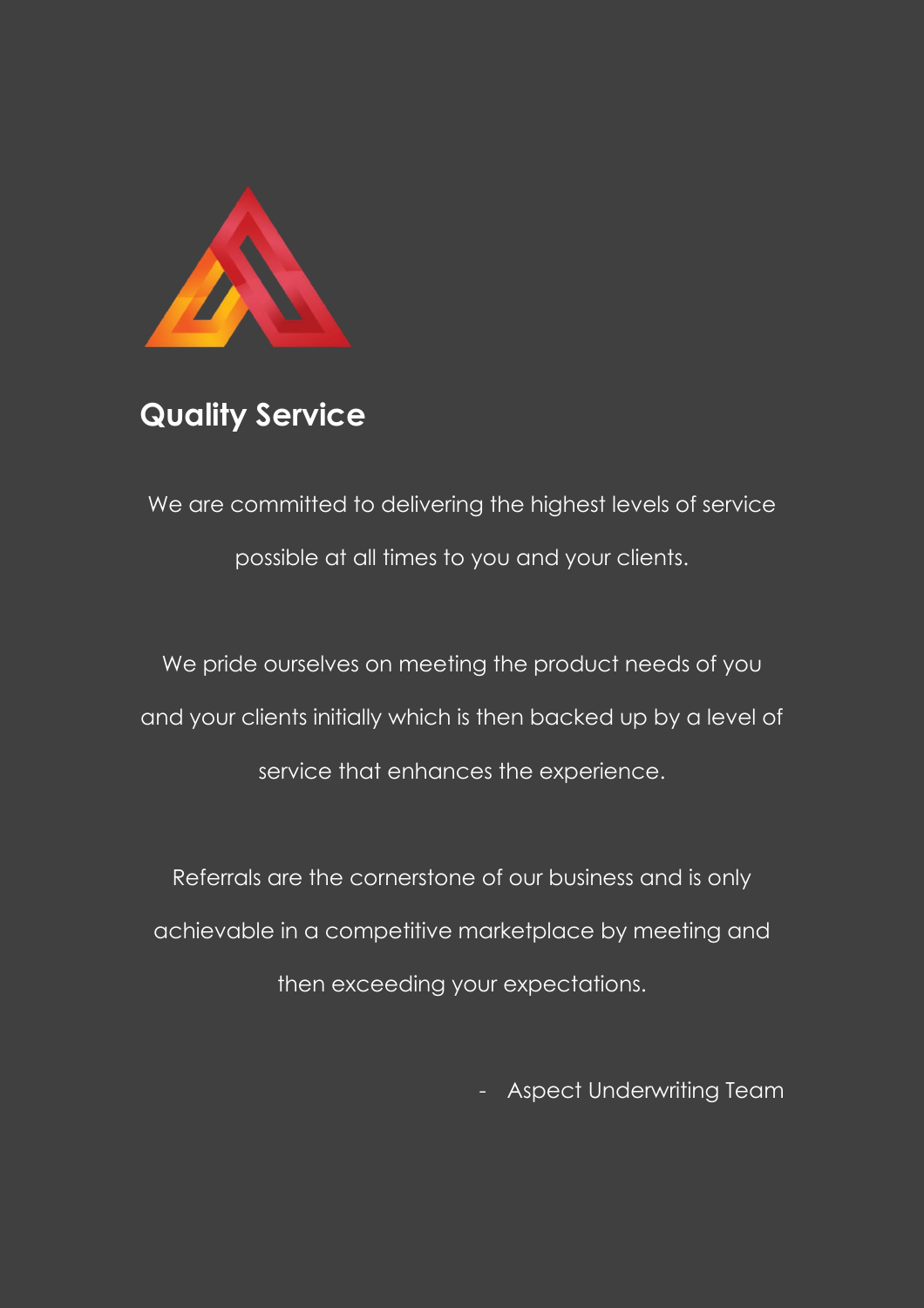

# **Quality Service**

We are committed to delivering the highest levels of service possible at all times to you and your clients.

We pride ourselves on meeting the product needs of you and your clients initially which is then backed up by a level of service that enhances the experience.

Referrals are the cornerstone of our business and is only achievable in a competitive marketplace by meeting and then exceeding your expectations.

- Aspect Underwriting Team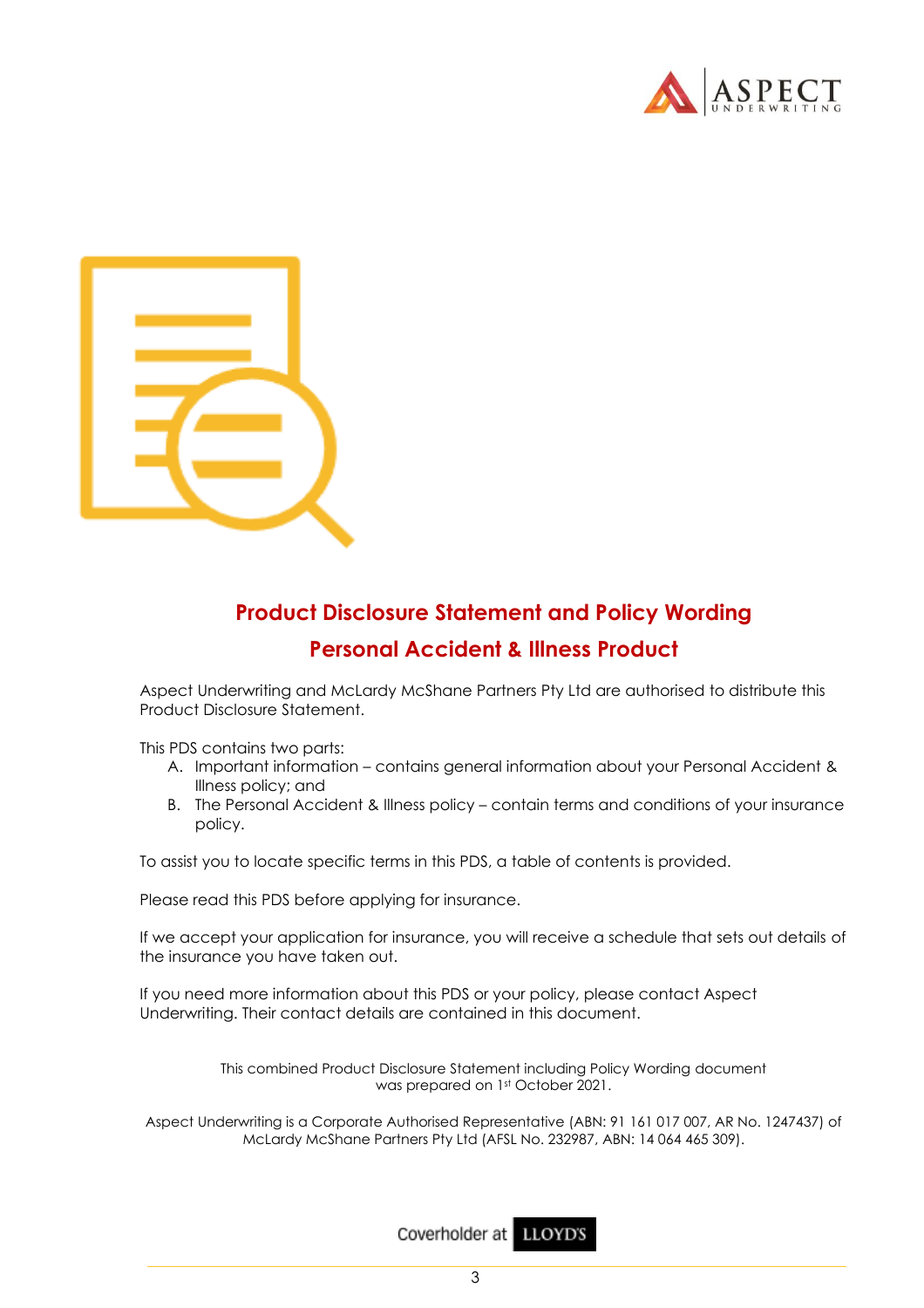



## **Product Disclosure Statement and Policy Wording Personal Accident & Illness Product**

Aspect Underwriting and McLardy McShane Partners Pty Ltd are authorised to distribute this Product Disclosure Statement.

This PDS contains two parts:

- A. Important information contains general information about your Personal Accident & Illness policy; and
- B. The Personal Accident & Illness policy contain terms and conditions of your insurance policy.

To assist you to locate specific terms in this PDS, a table of contents is provided.

Please read this PDS before applying for insurance.

If we accept your application for insurance, you will receive a schedule that sets out details of the insurance you have taken out.

If you need more information about this PDS or your policy, please contact Aspect Underwriting. Their contact details are contained in this document.

> This combined Product Disclosure Statement including Policy Wording document was prepared on 1st October 2021.

Aspect Underwriting is a Corporate Authorised Representative (ABN: 91 161 017 007, AR No. 1247437) of McLardy McShane Partners Pty Ltd (AFSL No. 232987, ABN: 14 064 465 309).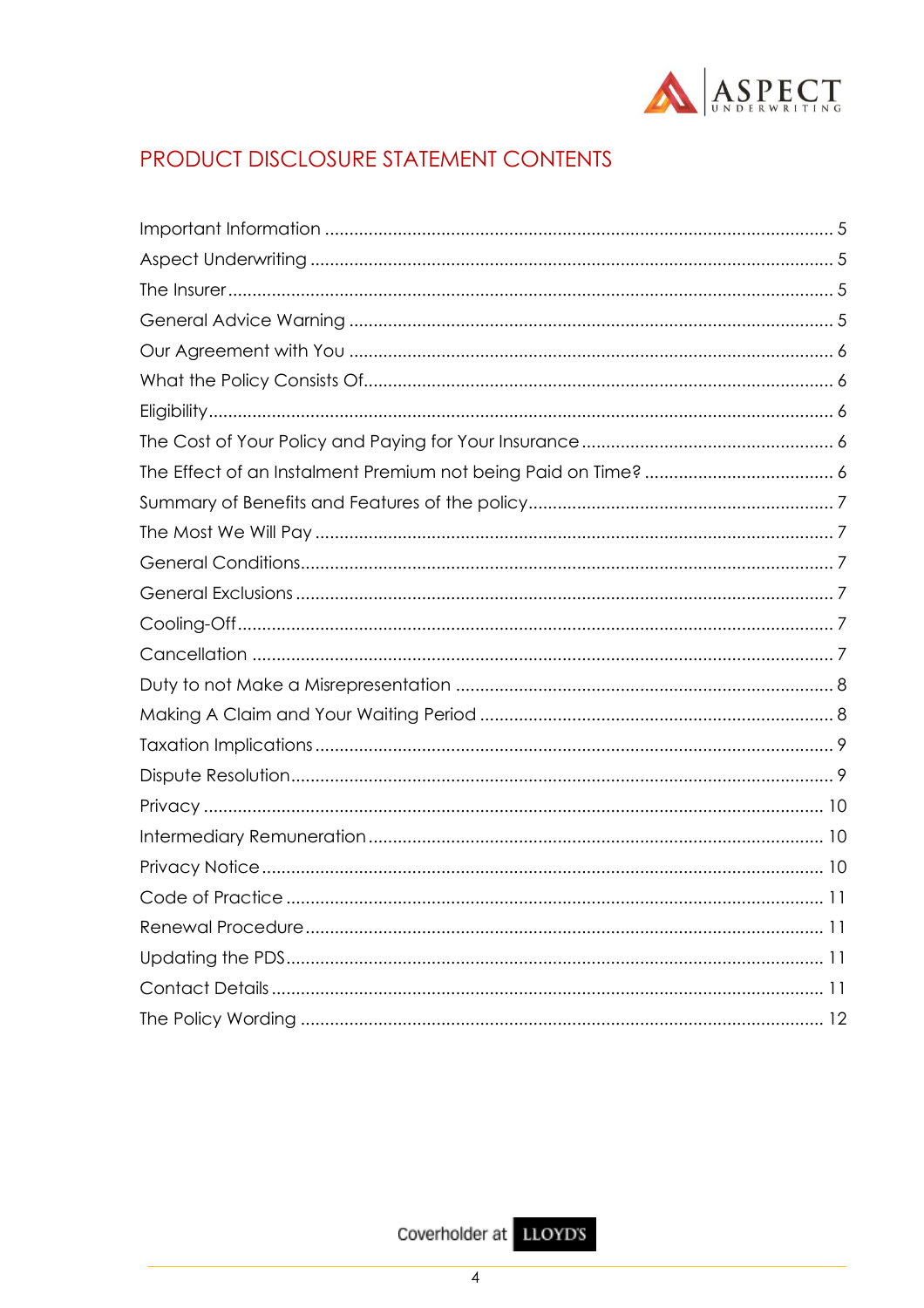

## PRODUCT DISCLOSURE STATEMENT CONTENTS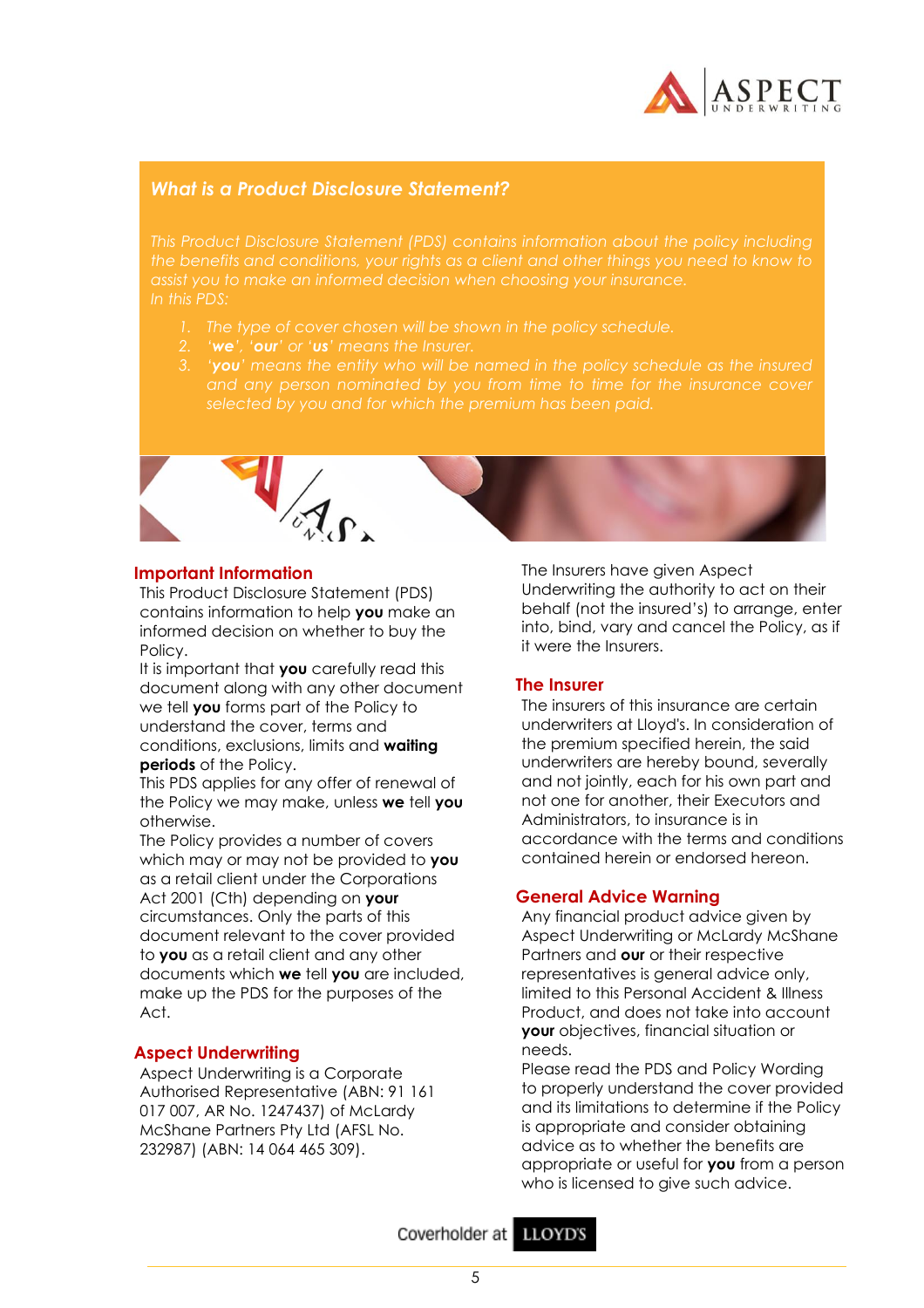

## *What is a Product Disclosure Statement?*

*the benefits and conditions, your rights as a client and other things you need to know to In this PDS:*

- *1. The type of cover chosen will be shown in the policy schedule.*
- *2. 'we', 'our' or 'us' means the Insurer.*
- 



#### **Important Information**

This Product Disclosure Statement (PDS) contains information to help **you** make an informed decision on whether to buy the Policy.

It is important that **you** carefully read this document along with any other document we tell **you** forms part of the Policy to understand the cover, terms and conditions, exclusions, limits and **waiting periods** of the Policy.

This PDS applies for any offer of renewal of the Policy we may make, unless **we** tell **you** otherwise.

The Policy provides a number of covers which may or may not be provided to **you** as a retail client under the Corporations Act 2001 (Cth) depending on **your** circumstances. Only the parts of this document relevant to the cover provided to **you** as a retail client and any other documents which **we** tell **you** are included, make up the PDS for the purposes of the Act.

## **Aspect Underwriting**

Aspect Underwriting is a Corporate Authorised Representative (ABN: 91 161 017 007, AR No. 1247437) of McLardy McShane Partners Pty Ltd (AFSL No. 232987) (ABN: 14 064 465 309).

The Insurers have given Aspect Underwriting the authority to act on their behalf (not the insured's) to arrange, enter into, bind, vary and cancel the Policy, as if it were the Insurers.

## **The Insurer**

The insurers of this insurance are certain underwriters at Lloyd's. In consideration of the premium specified herein, the said underwriters are hereby bound, severally and not jointly, each for his own part and not one for another, their Executors and Administrators, to insurance is in accordance with the terms and conditions contained herein or endorsed hereon.

## **General Advice Warning**

Any financial product advice given by Aspect Underwriting or McLardy McShane Partners and **our** or their respective representatives is general advice only, limited to this Personal Accident & Illness Product, and does not take into account **your** objectives, financial situation or needs.

Please read the PDS and Policy Wording to properly understand the cover provided and its limitations to determine if the Policy is appropriate and consider obtaining advice as to whether the benefits are appropriate or useful for **you** from a person who is licensed to give such advice.

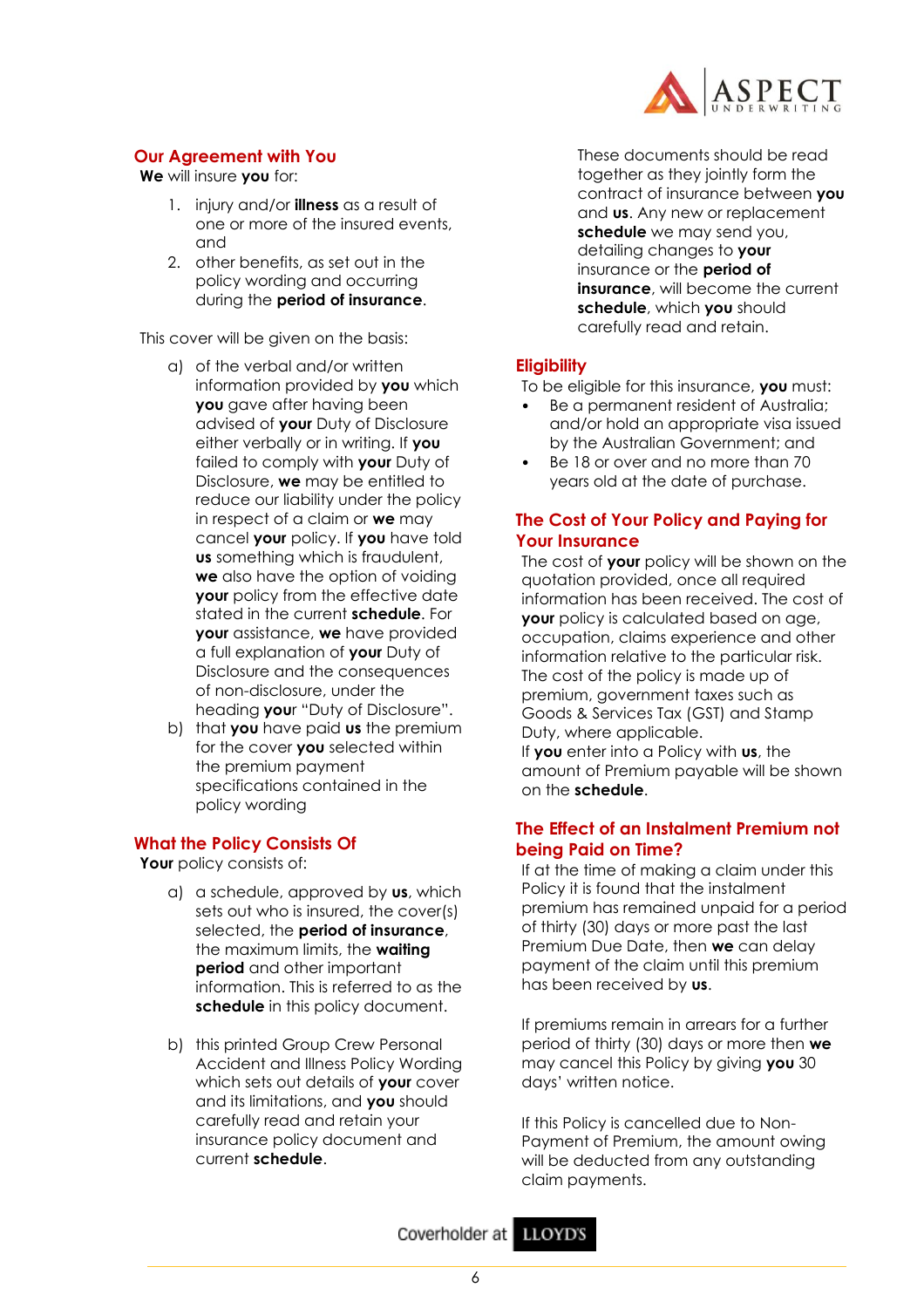

## **Our Agreement with You**

**We** will insure **you** for:

- 1. injury and/or **illness** as a result of one or more of the insured events, and
- 2. other benefits, as set out in the policy wording and occurring during the **period of insurance**.

This cover will be given on the basis:

- a) of the verbal and/or written information provided by **you** which **you** gave after having been advised of **your** Duty of Disclosure either verbally or in writing. If **you** failed to comply with **your** Duty of Disclosure, **we** may be entitled to reduce our liability under the policy in respect of a claim or **we** may cancel **your** policy. If **you** have told **us** something which is fraudulent, **we** also have the option of voiding **your** policy from the effective date stated in the current **schedule**. For **your** assistance, **we** have provided a full explanation of **your** Duty of Disclosure and the consequences of non-disclosure, under the heading **you**r "Duty of Disclosure".
- b) that **you** have paid **us** the premium for the cover **you** selected within the premium payment specifications contained in the policy wording

## **What the Policy Consists Of**

**Your** policy consists of:

- a) a schedule, approved by **us**, which sets out who is insured, the cover(s) selected, the **period of insurance**, the maximum limits, the **waiting period** and other important information. This is referred to as the **schedule** in this policy document.
- b) this printed Group Crew Personal Accident and Illness Policy Wording which sets out details of **your** cover and its limitations, and **you** should carefully read and retain your insurance policy document and current **schedule**.

These documents should be read together as they jointly form the contract of insurance between **you** and **us**. Any new or replacement **schedule** we may send you, detailing changes to **your** insurance or the **period of insurance**, will become the current **schedule**, which **you** should carefully read and retain.

## **Eligibility**

To be eligible for this insurance, **you** must:

- Be a permanent resident of Australia; and/or hold an appropriate visa issued by the Australian Government; and
- Be 18 or over and no more than 70 years old at the date of purchase.

## **The Cost of Your Policy and Paying for Your Insurance**

The cost of **your** policy will be shown on the quotation provided, once all required information has been received. The cost of **your** policy is calculated based on age, occupation, claims experience and other information relative to the particular risk. The cost of the policy is made up of premium, government taxes such as Goods & Services Tax (GST) and Stamp Duty, where applicable. If **you** enter into a Policy with **us**, the amount of Premium payable will be shown on the **schedule**.

## **The Effect of an Instalment Premium not being Paid on Time?**

If at the time of making a claim under this Policy it is found that the instalment premium has remained unpaid for a period of thirty (30) days or more past the last Premium Due Date, then **we** can delay payment of the claim until this premium has been received by **us**.

If premiums remain in arrears for a further period of thirty (30) days or more then **we** may cancel this Policy by giving **you** 30 days' written notice.

If this Policy is cancelled due to Non-Payment of Premium, the amount owing will be deducted from any outstanding claim payments.

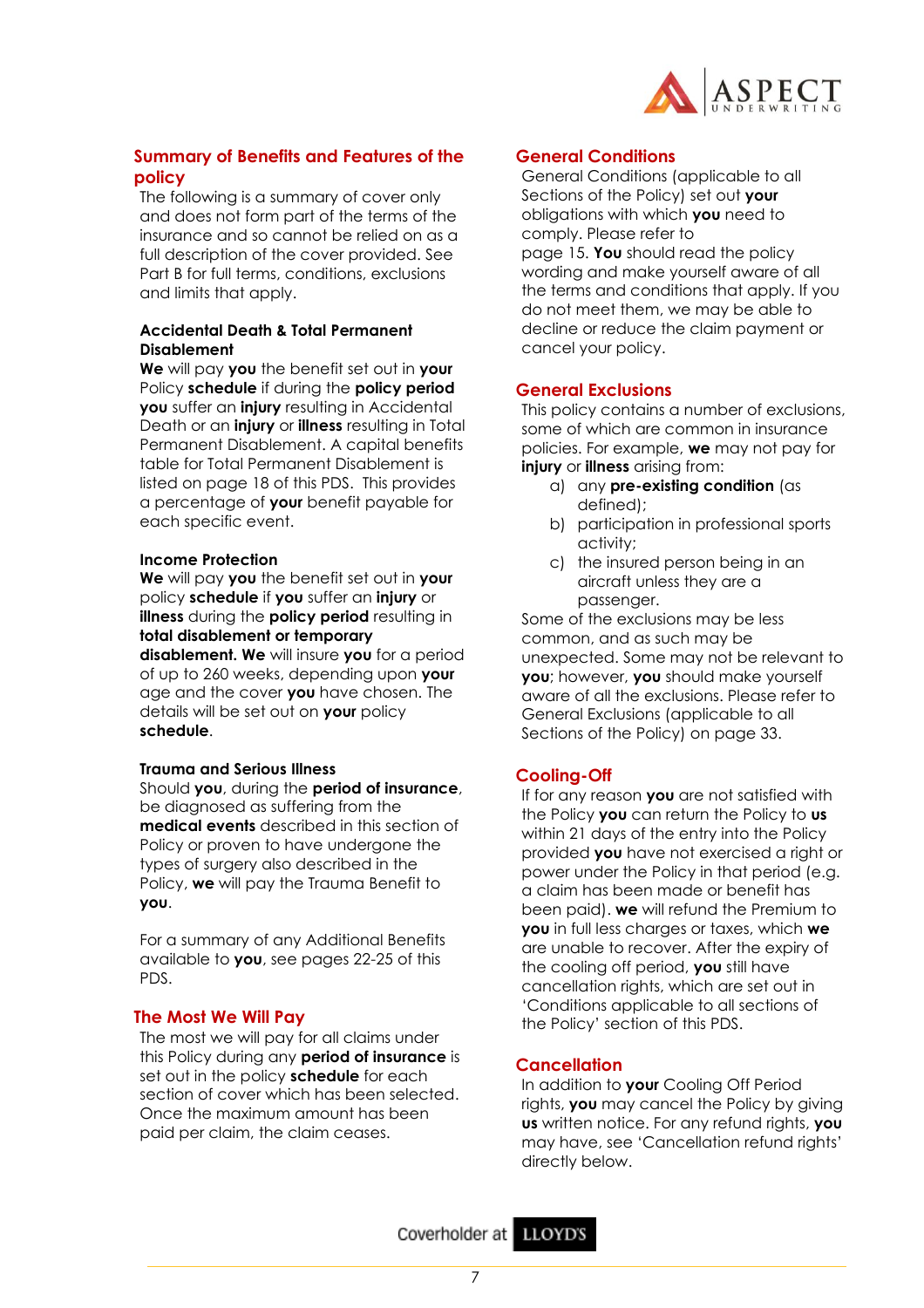

## **Summary of Benefits and Features of the policy**

The following is a summary of cover only and does not form part of the terms of the insurance and so cannot be relied on as a full description of the cover provided. See Part B for full terms, conditions, exclusions and limits that apply.

## **Accidental Death & Total Permanent Disablement**

**We** will pay **you** the benefit set out in **your** Policy **schedule** if during the **policy period you** suffer an **injury** resulting in Accidental Death or an **injury** or **illness** resulting in Total Permanent Disablement. A capital benefits table for Total Permanent Disablement is listed on page 18 of this PDS. This provides a percentage of **your** benefit payable for each specific event.

#### **Income Protection**

**We** will pay **you** the benefit set out in **your**  policy **schedule** if **you** suffer an **injury** or **illness** during the **policy period** resulting in **total disablement or temporary disablement. We** will insure **you** for a period of up to 260 weeks, depending upon **your** age and the cover **you** have chosen. The details will be set out on **your** policy **schedule**.

#### **Trauma and Serious Illness**

Should **you**, during the **period of insurance**, be diagnosed as suffering from the **medical events** described in this section of Policy or proven to have undergone the types of surgery also described in the Policy, **we** will pay the Trauma Benefit to **you**.

For a summary of any Additional Benefits available to **you**, see pages 22-25 of this PDS.

## **The Most We Will Pay**

The most we will pay for all claims under this Policy during any **period of insurance** is set out in the policy **schedule** for each section of cover which has been selected. Once the maximum amount has been paid per claim, the claim ceases.

#### **General Conditions**

General Conditions (applicable to all Sections of the Policy) set out **your** obligations with which **you** need to comply. Please refer to

page 15. **You** should read the policy wording and make yourself aware of all the terms and conditions that apply. If you do not meet them, we may be able to decline or reduce the claim payment or cancel your policy.

#### **General Exclusions**

This policy contains a number of exclusions, some of which are common in insurance policies. For example, **we** may not pay for **injury** or **illness** arising from:

- a) any **pre-existing condition** (as defined);
- b) participation in professional sports activity;
- c) the insured person being in an aircraft unless they are a passenger.

Some of the exclusions may be less common, and as such may be unexpected. Some may not be relevant to **you**; however, **you** should make yourself aware of all the exclusions. Please refer to General Exclusions (applicable to all Sections of the Policy) on page 33.

## **Cooling-Off**

If for any reason **you** are not satisfied with the Policy **you** can return the Policy to **us** within 21 days of the entry into the Policy provided **you** have not exercised a right or power under the Policy in that period (e.g. a claim has been made or benefit has been paid). **we** will refund the Premium to **you** in full less charges or taxes, which **we** are unable to recover. After the expiry of the cooling off period, **you** still have cancellation rights, which are set out in 'Conditions applicable to all sections of the Policy' section of this PDS.

## **Cancellation**

In addition to **your** Cooling Off Period rights, **you** may cancel the Policy by giving **us** written notice. For any refund rights, **you** may have, see 'Cancellation refund rights' directly below.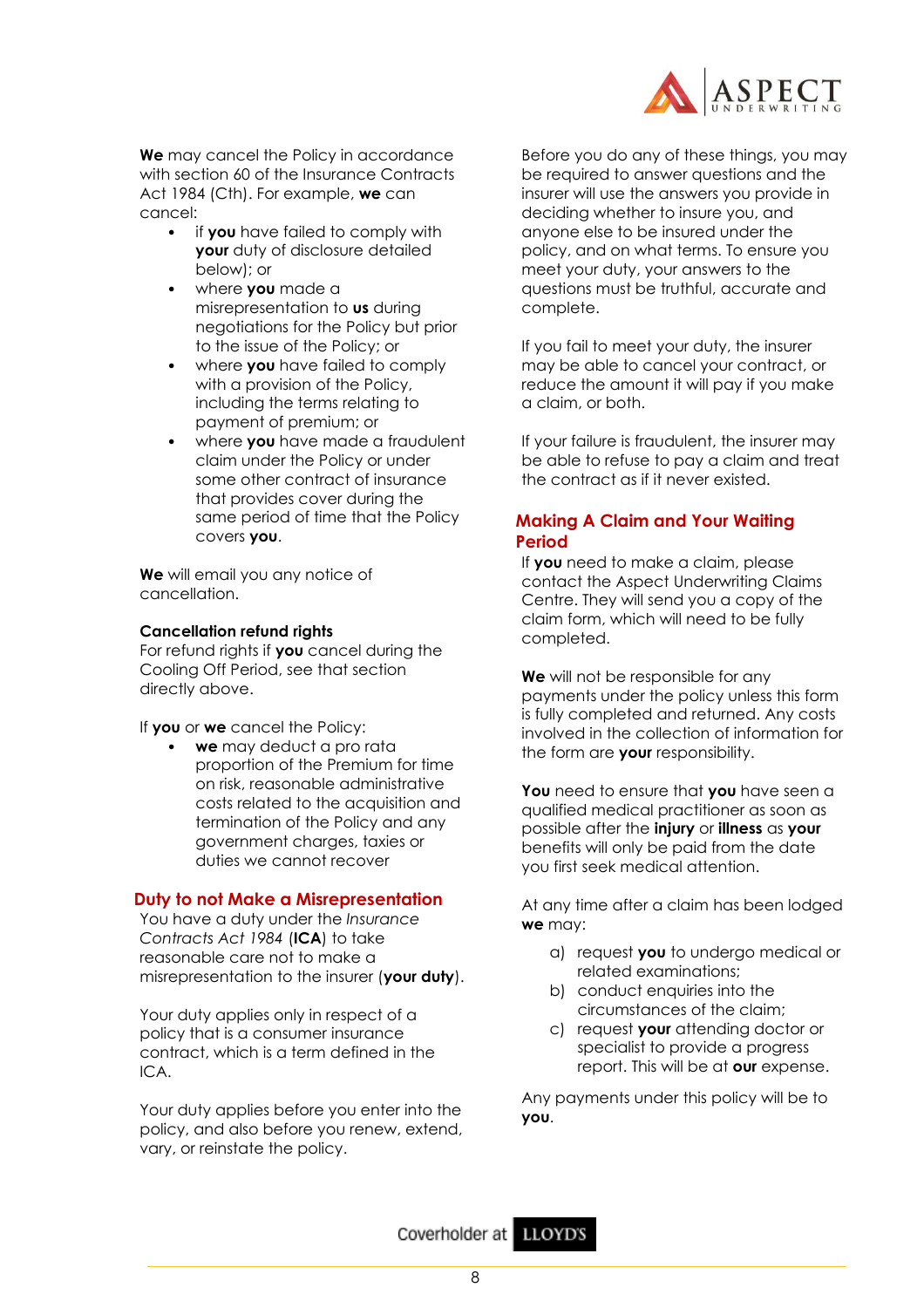

**We** may cancel the Policy in accordance with section 60 of the Insurance Contracts Act 1984 (Cth). For example, **we** can cancel:

- if **you** have failed to comply with **your** duty of disclosure detailed below); or
- where **you** made a misrepresentation to **us** during negotiations for the Policy but prior to the issue of the Policy; or
- where **you** have failed to comply with a provision of the Policy, including the terms relating to payment of premium; or
- where **you** have made a fraudulent claim under the Policy or under some other contract of insurance that provides cover during the same period of time that the Policy covers **you**.

**We** will email you any notice of cancellation.

## **Cancellation refund rights**

For refund rights if **you** cancel during the Cooling Off Period, see that section directly above.

If **you** or **we** cancel the Policy:

• **we** may deduct a pro rata proportion of the Premium for time on risk, reasonable administrative costs related to the acquisition and termination of the Policy and any government charges, taxies or duties we cannot recover

## **Duty to not Make a Misrepresentation**

You have a duty under the *Insurance Contracts Act 1984* (**ICA**) to take reasonable care not to make a misrepresentation to the insurer (**your duty**).

Your duty applies only in respect of a policy that is a consumer insurance contract, which is a term defined in the ICA.

Your duty applies before you enter into the policy, and also before you renew, extend, vary, or reinstate the policy.

Before you do any of these things, you may be required to answer questions and the insurer will use the answers you provide in deciding whether to insure you, and anyone else to be insured under the policy, and on what terms. To ensure you meet your duty, your answers to the questions must be truthful, accurate and complete.

If you fail to meet your duty, the insurer may be able to cancel your contract, or reduce the amount it will pay if you make a claim, or both.

If your failure is fraudulent, the insurer may be able to refuse to pay a claim and treat the contract as if it never existed.

## **Making A Claim and Your Waiting Period**

If **you** need to make a claim, please contact the Aspect Underwriting Claims Centre. They will send you a copy of the claim form, which will need to be fully completed.

**We** will not be responsible for any payments under the policy unless this form is fully completed and returned. Any costs involved in the collection of information for the form are **your** responsibility.

**You** need to ensure that **you** have seen a qualified medical practitioner as soon as possible after the **injury** or **illness** as **your** benefits will only be paid from the date you first seek medical attention.

At any time after a claim has been lodged **we** may:

- a) request **you** to undergo medical or related examinations;
- b) conduct enquiries into the circumstances of the claim;
- c) request **your** attending doctor or specialist to provide a progress report. This will be at **our** expense.

Any payments under this policy will be to **you**.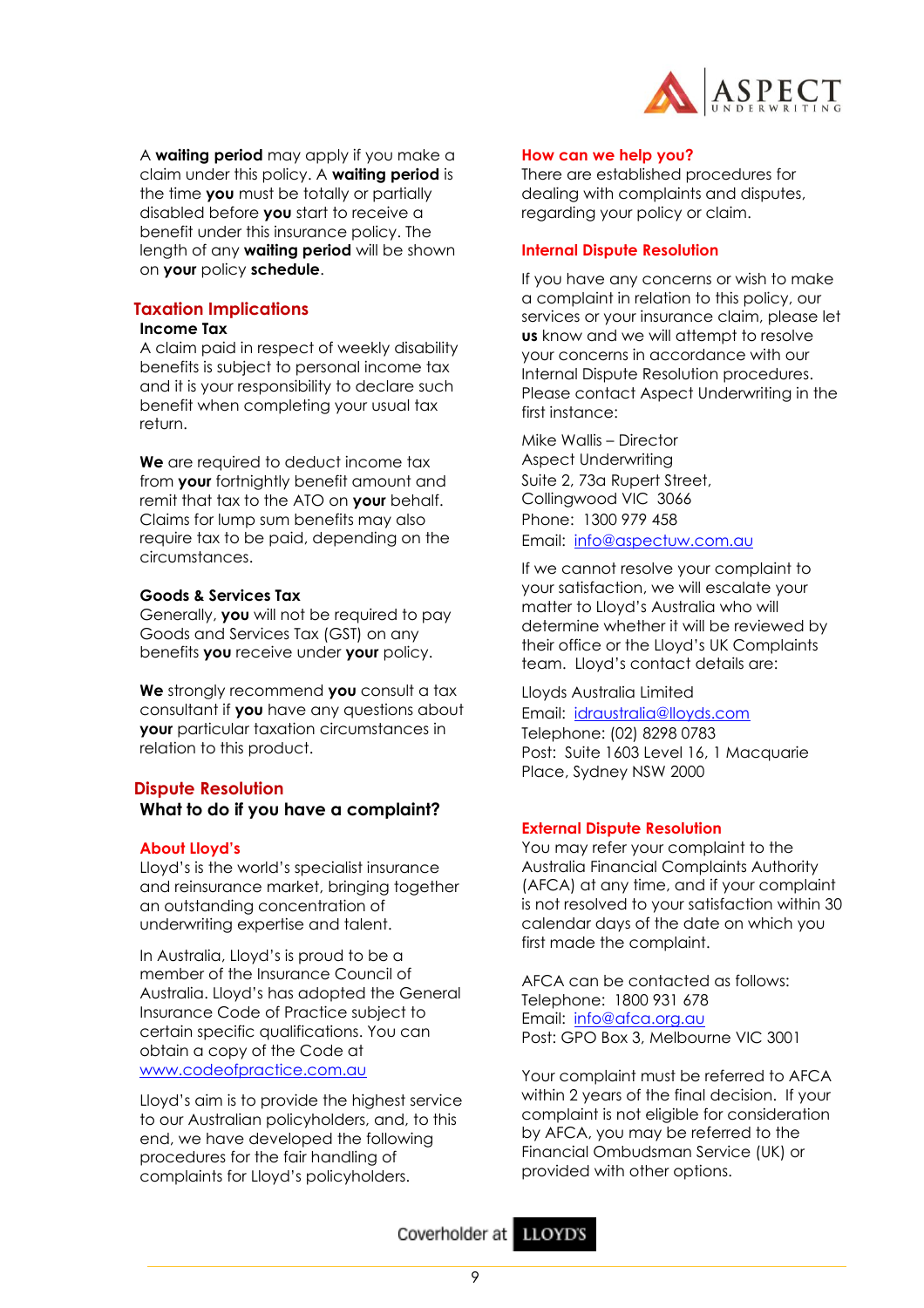

A **waiting period** may apply if you make a claim under this policy. A **waiting period** is the time **you** must be totally or partially disabled before **you** start to receive a benefit under this insurance policy. The length of any **waiting period** will be shown on **your** policy **schedule**.

## **Taxation Implications**

#### **Income Tax**

A claim paid in respect of weekly disability benefits is subject to personal income tax and it is your responsibility to declare such benefit when completing your usual tax return.

**We** are required to deduct income tax from **your** fortnightly benefit amount and remit that tax to the ATO on **your** behalf. Claims for lump sum benefits may also require tax to be paid, depending on the circumstances.

## **Goods & Services Tax**

Generally, **you** will not be required to pay Goods and Services Tax (GST) on any benefits **you** receive under **your** policy.

**We** strongly recommend **you** consult a tax consultant if **you** have any questions about **your** particular taxation circumstances in relation to this product.

## **Dispute Resolution**

**What to do if you have a complaint?**

#### **About Lloyd's**

Lloyd's is the world's specialist insurance and reinsurance market, bringing together an outstanding concentration of underwriting expertise and talent.

In Australia, Lloyd's is proud to be a member of the Insurance Council of Australia. Lloyd's has adopted the General Insurance Code of Practice subject to certain specific qualifications. You can obtain a copy of the Code at [www.codeofpractice.com.au](http://www.codeofpractice.com.au/)

Lloyd's aim is to provide the highest service to our Australian policyholders, and, to this end, we have developed the following procedures for the fair handling of complaints for Lloyd's policyholders.

#### **How can we help you?**

There are established procedures for dealing with complaints and disputes, regarding your policy or claim.

#### **Internal Dispute Resolution**

If you have any concerns or wish to make a complaint in relation to this policy, our services or your insurance claim, please let **us** know and we will attempt to resolve your concerns in accordance with our Internal Dispute Resolution procedures. Please contact Aspect Underwriting in the first instance:

Mike Wallis – Director Aspect Underwriting Suite 2, 73a Rupert Street, Collingwood VIC 3066 Phone: 1300 979 458 Email: [info@aspectuw.com.au](mailto:mike@aspectuw.com.au)

If we cannot resolve your complaint to your satisfaction, we will escalate your matter to Lloyd's Australia who will determine whether it will be reviewed by their office or the Lloyd's UK Complaints team. Lloyd's contact details are:

Lloyds Australia Limited Email: [idraustralia@lloyds.com](mailto:idraustralia@lloyds.com) Telephone: (02) 8298 0783 Post: Suite 1603 Level 16, 1 Macquarie Place, Sydney NSW 2000

#### **External Dispute Resolution**

You may refer your complaint to the Australia Financial Complaints Authority (AFCA) at any time, and if your complaint is not resolved to your satisfaction within 30 calendar days of the date on which you first made the complaint.

AFCA can be contacted as follows: Telephone: 1800 931 678 Email: [info@afca.org.au](mailto:info@afca.org.au) Post: GPO Box 3, Melbourne VIC 3001

Your complaint must be referred to AFCA within 2 years of the final decision. If your complaint is not eligible for consideration by AFCA, you may be referred to the Financial Ombudsman Service (UK) or provided with other options.

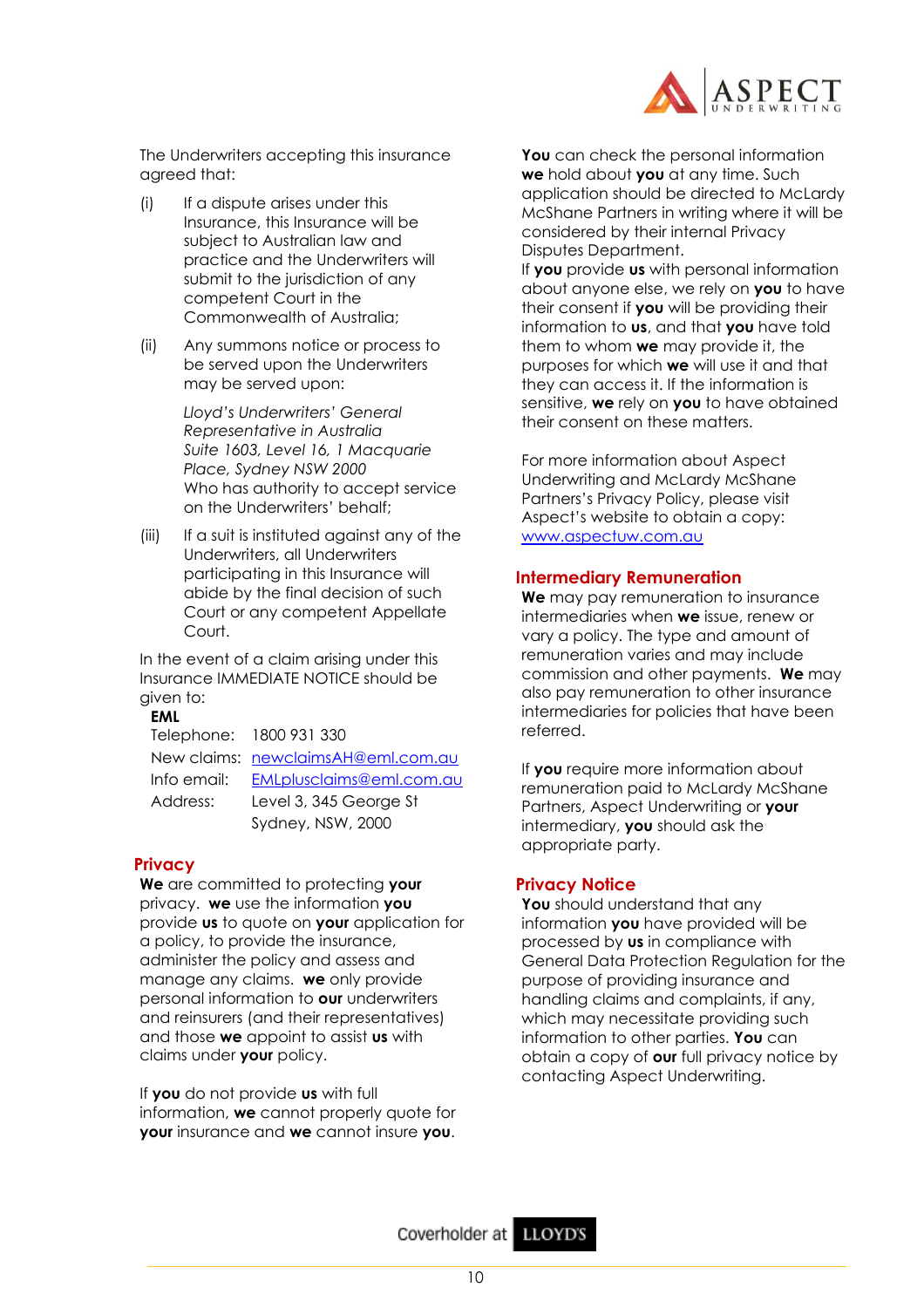

The Underwriters accepting this insurance agreed that:

- (i) If a dispute arises under this Insurance, this Insurance will be subject to Australian law and practice and the Underwriters will submit to the jurisdiction of any competent Court in the Commonwealth of Australia;
- (ii) Any summons notice or process to be served upon the Underwriters may be served upon:

*Lloyd's Underwriters' General Representative in Australia Suite 1603, Level 16, 1 Macquarie Place, Sydney NSW 2000* Who has authority to accept service on the Underwriters' behalf;

(iii) If a suit is instituted against any of the Underwriters, all Underwriters participating in this Insurance will abide by the final decision of such Court or any competent Appellate Court.

In the event of a claim arising under this Insurance IMMEDIATE NOTICE should be given to:

#### **EML**

Telephone: 1800 931 330 New claims: [newclaimsAH@eml.com.au](mailto:newclaimsAH@eml.com.au) Info email: [EMLplusclaims@eml.com.au](mailto:EMLplusclaims@eml.com.au) Address: Level 3, 345 George St Sydney, NSW, 2000

## **Privacy**

**We** are committed to protecting **your** privacy. **we** use the information **you** provide **us** to quote on **your** application for a policy, to provide the insurance, administer the policy and assess and manage any claims. **we** only provide personal information to **our** underwriters and reinsurers (and their representatives) and those **we** appoint to assist **us** with claims under **your** policy.

If **you** do not provide **us** with full information, **we** cannot properly quote for **your** insurance and **we** cannot insure **you**.

**You** can check the personal information **we** hold about **you** at any time. Such application should be directed to McLardy McShane Partners in writing where it will be considered by their internal Privacy Disputes Department.

If **you** provide **us** with personal information about anyone else, we rely on **you** to have their consent if **you** will be providing their information to **us**, and that **you** have told them to whom **we** may provide it, the purposes for which **we** will use it and that they can access it. If the information is sensitive, **we** rely on **you** to have obtained their consent on these matters.

For more information about Aspect Underwriting and McLardy McShane Partners's Privacy Policy, please visit Aspect's website to obtain a copy: [www.aspectuw.com.au](http://www.aspectuw.com.au/)

## **Intermediary Remuneration**

**We** may pay remuneration to insurance intermediaries when **we** issue, renew or vary a policy. The type and amount of remuneration varies and may include commission and other payments. **We** may also pay remuneration to other insurance intermediaries for policies that have been referred.

If **you** require more information about remuneration paid to McLardy McShane Partners, Aspect Underwriting or **your** intermediary, **you** should ask the appropriate party.

## **Privacy Notice**

You should understand that any information **you** have provided will be processed by **us** in compliance with General Data Protection Regulation for the purpose of providing insurance and handling claims and complaints, if any, which may necessitate providing such information to other parties. **You** can obtain a copy of **our** full privacy notice by contacting Aspect Underwriting.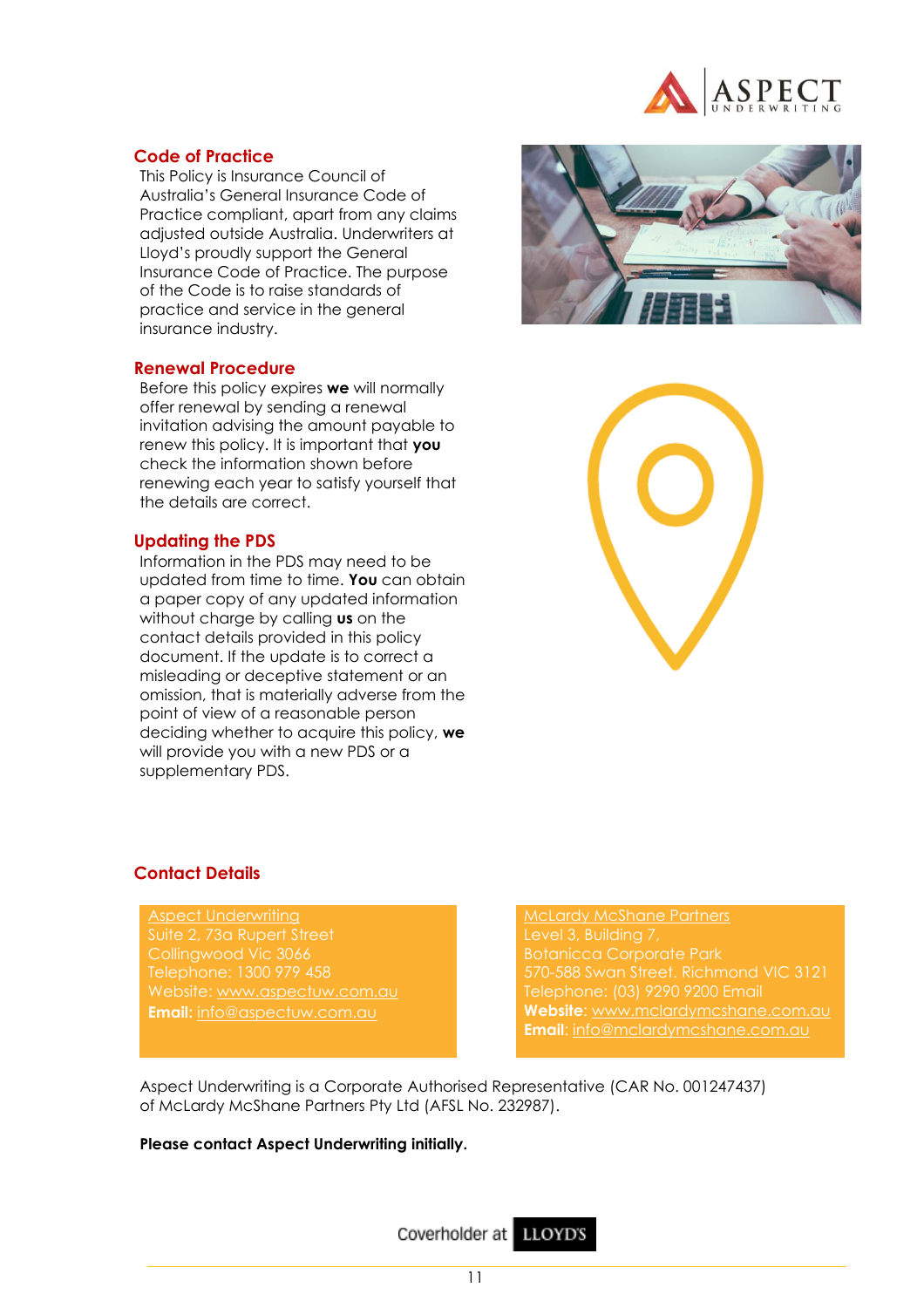

## **Code of Practice**

This Policy is Insurance Council of Australia's General Insurance Code of Practice compliant, apart from any claims adjusted outside Australia. Underwriters at Lloyd's proudly support the General Insurance Code of Practice. The purpose of the Code is to raise standards of practice and service in the general insurance industry.

## **Renewal Procedure**

Before this policy expires **we** will normally offer renewal by sending a renewal invitation advising the amount payable to renew this policy. It is important that **you** check the information shown before renewing each year to satisfy yourself that the details are correct.

#### **Updating the PDS**

Information in the PDS may need to be updated from time to time. **You** can obtain a paper copy of any updated information without charge by calling **us** on the contact details provided in this policy document. If the update is to correct a misleading or deceptive statement or an omission, that is materially adverse from the point of view of a reasonable person deciding whether to acquire this policy, **we** will provide you with a new PDS or a supplementary PDS.





## **Contact Details**

Aspect Underwriting Suite 2, 73a Rupert Street Collingwood Vic 3066 Website: [www.aspectuw.com.au](http://www.aspectuw.com.au/) **Email**: [info@aspectuw.com.au](mailto:info@aspectuw.com.au)

McLardy McShane Partners Level 3, Building 7, Botanicca Corporate Park 570-588 Swan Street. Richmond VIC 3121 **Website**: [www.mclardymcshane.com.au](http://www.mclardymcshane.com.au/) **Email:** info@mclardymcshane.com.au

Aspect Underwriting is a Corporate Authorised Representative (CAR No. 001247437) of McLardy McShane Partners Pty Ltd (AFSL No. 232987).

#### **Please contact Aspect Underwriting initially.**

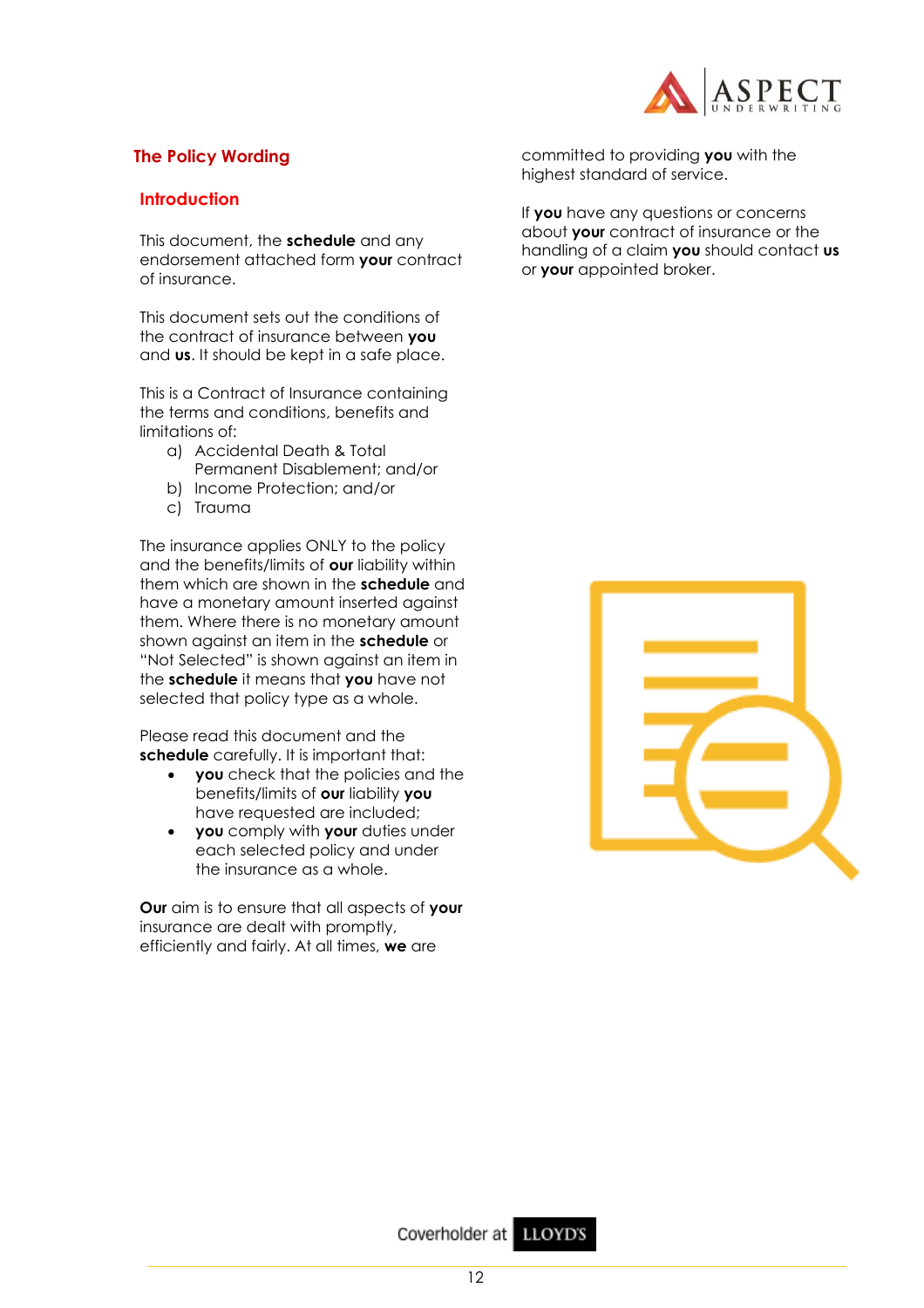

## **The Policy Wording**

## **Introduction**

This document, the **schedule** and any endorsement attached form **your** contract of insurance.

This document sets out the conditions of the contract of insurance between **you**  and **us**. It should be kept in a safe place.

This is a Contract of Insurance containing the terms and conditions, benefits and limitations of:

- a) Accidental Death & Total Permanent Disablement; and/or
- b) Income Protection; and/or
- c) Trauma

The insurance applies ONLY to the policy and the benefits/limits of **our** liability within them which are shown in the **schedule** and have a monetary amount inserted against them. Where there is no monetary amount shown against an item in the **schedule** or "Not Selected" is shown against an item in the **schedule** it means that **you** have not selected that policy type as a whole.

Please read this document and the **schedule** carefully. It is important that:

- **you** check that the policies and the benefits/limits of **our** liability **you**  have requested are included;
- **you** comply with **your** duties under each selected policy and under the insurance as a whole.

**Our** aim is to ensure that all aspects of **your**  insurance are dealt with promptly, efficiently and fairly. At all times, **we** are

committed to providing **you** with the highest standard of service.

If **you** have any questions or concerns about **your** contract of insurance or the handling of a claim **you** should contact **us** or **your** appointed broker.

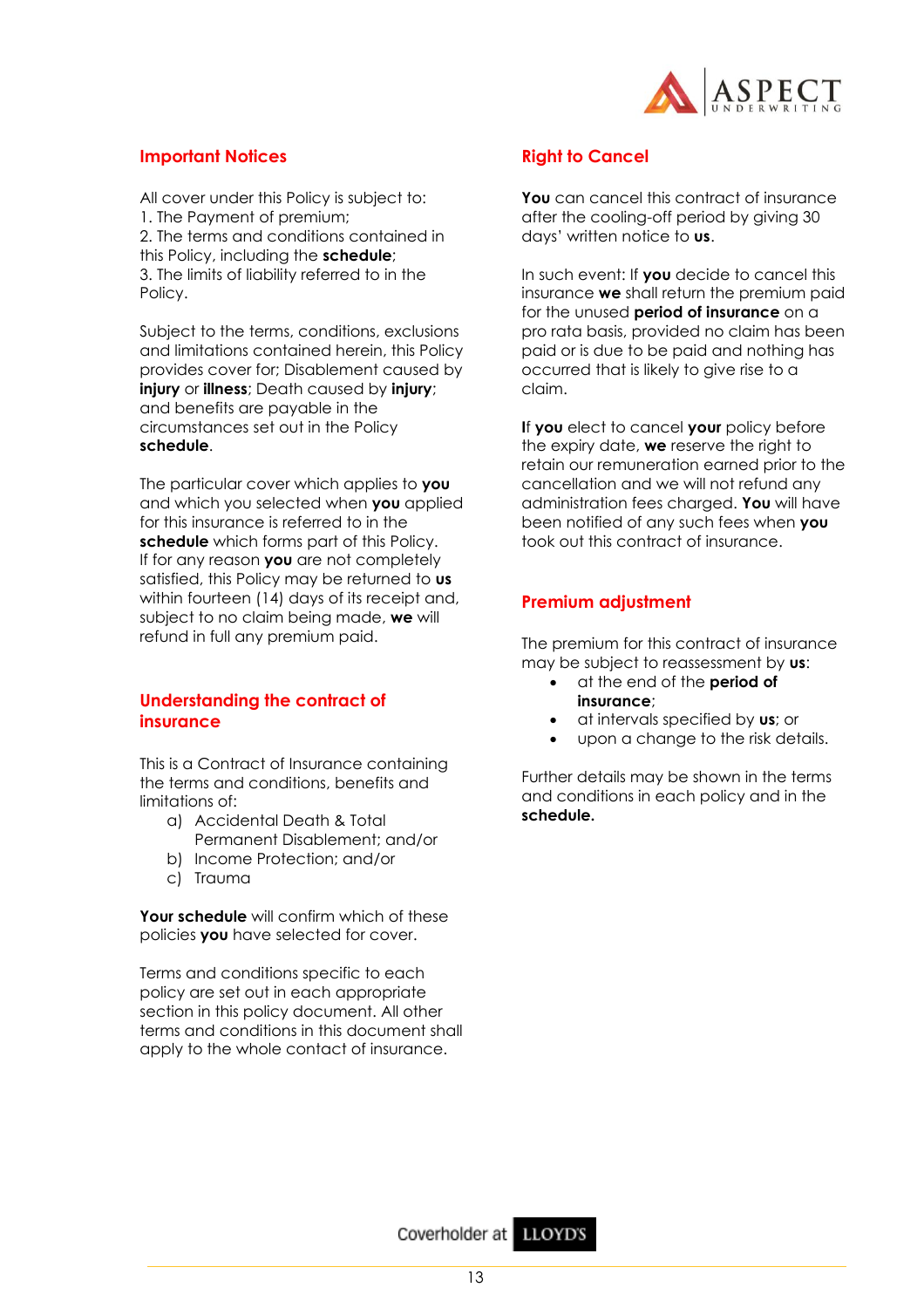

## **Important Notices**

All cover under this Policy is subject to: 1. The Payment of premium; 2. The terms and conditions contained in this Policy, including the **schedule**; 3. The limits of liability referred to in the Policy.

Subject to the terms, conditions, exclusions and limitations contained herein, this Policy provides cover for; Disablement caused by **injury** or **illness**; Death caused by **injury**; and benefits are payable in the circumstances set out in the Policy **schedule**.

The particular cover which applies to **you** and which you selected when **you** applied for this insurance is referred to in the **schedule** which forms part of this Policy. If for any reason **you** are not completely satisfied, this Policy may be returned to **us** within fourteen (14) days of its receipt and, subject to no claim being made, **we** will refund in full any premium paid.

## **Understanding the contract of insurance**

This is a Contract of Insurance containing the terms and conditions, benefits and limitations of:

- a) Accidental Death & Total Permanent Disablement; and/or
- b) Income Protection; and/or
- c) Trauma

**Your schedule** will confirm which of these policies **you** have selected for cover.

Terms and conditions specific to each policy are set out in each appropriate section in this policy document. All other terms and conditions in this document shall apply to the whole contact of insurance.

## **Right to Cancel**

You can cancel this contract of insurance after the cooling-off period by giving 30 days' written notice to **us**.

In such event: If **you** decide to cancel this insurance **we** shall return the premium paid for the unused **period of insurance** on a pro rata basis, provided no claim has been paid or is due to be paid and nothing has occurred that is likely to give rise to a claim.

**I**f **you** elect to cancel **your** policy before the expiry date, **we** reserve the right to retain our remuneration earned prior to the cancellation and we will not refund any administration fees charged. **You** will have been notified of any such fees when **you**  took out this contract of insurance.

## **Premium adjustment**

The premium for this contract of insurance may be subject to reassessment by **us**:

- at the end of the **period of insurance**;
- at intervals specified by **us**; or
- upon a change to the risk details.

Further details may be shown in the terms and conditions in each policy and in the **schedule.**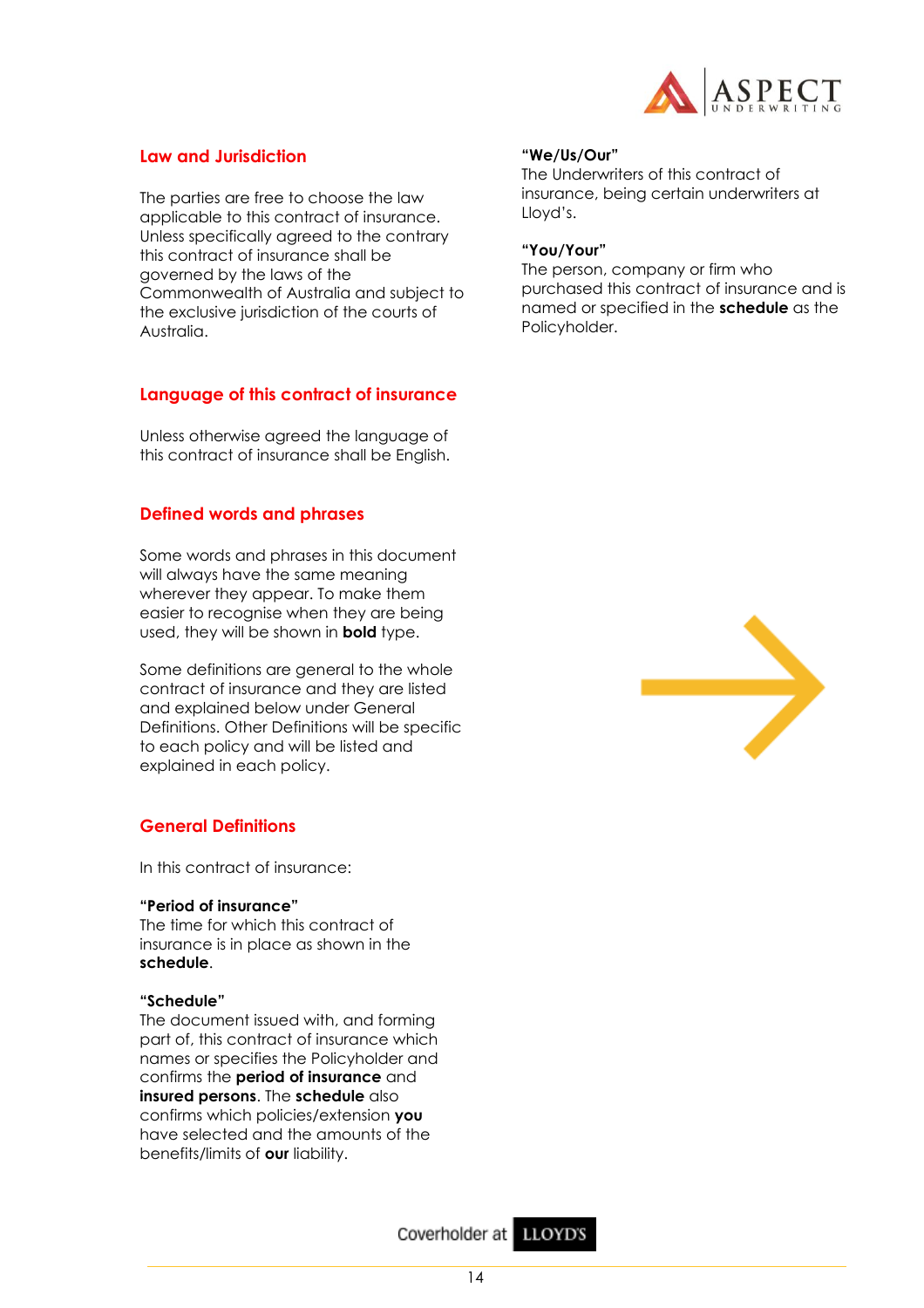

## **Law and Jurisdiction**

The parties are free to choose the law applicable to this contract of insurance. Unless specifically agreed to the contrary this contract of insurance shall be governed by the laws of the Commonwealth of Australia and subject to the exclusive jurisdiction of the courts of Australia.

## **Language of this contract of insurance**

Unless otherwise agreed the language of this contract of insurance shall be English.

## **Defined words and phrases**

Some words and phrases in this document will always have the same meaning wherever they appear. To make them easier to recognise when they are being used, they will be shown in **bold** type.

Some definitions are general to the whole contract of insurance and they are listed and explained below under General Definitions. Other Definitions will be specific to each policy and will be listed and explained in each policy.

## **General Definitions**

In this contract of insurance:

## **"Period of insurance"**

The time for which this contract of insurance is in place as shown in the **schedule**.

## **"Schedule"**

The document issued with, and forming part of, this contract of insurance which names or specifies the Policyholder and confirms the **period of insurance** and **insured persons**. The **schedule** also confirms which policies/extension **you**  have selected and the amounts of the benefits/limits of **our** liability.

#### **"We/Us/Our"**

The Underwriters of this contract of insurance, being certain underwriters at Lloyd's.

#### **"You/Your"**

The person, company or firm who purchased this contract of insurance and is named or specified in the **schedule** as the Policyholder.



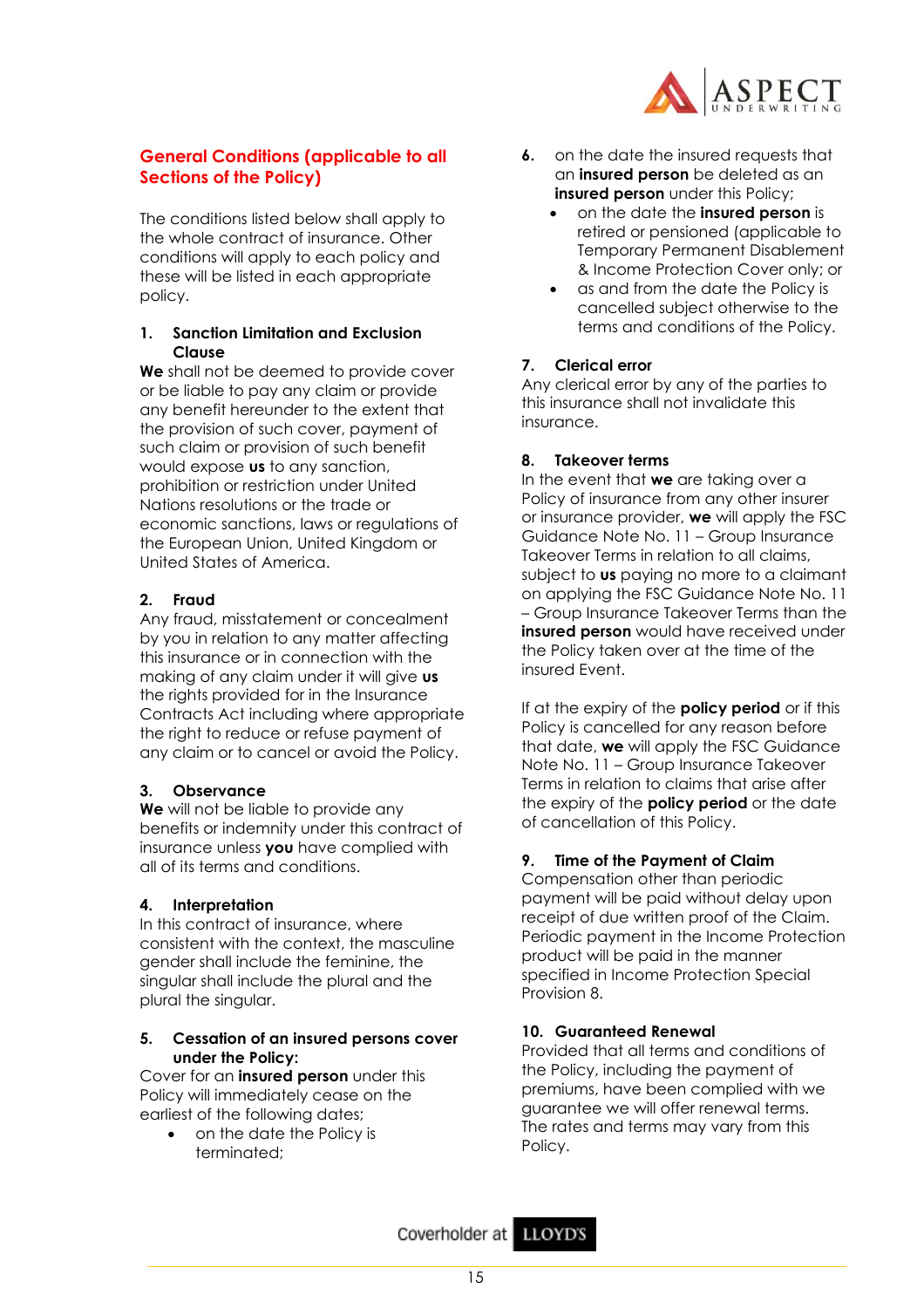

## **General Conditions (applicable to all Sections of the Policy)**

The conditions listed below shall apply to the whole contract of insurance. Other conditions will apply to each policy and these will be listed in each appropriate policy.

## **1. Sanction Limitation and Exclusion Clause**

**We** shall not be deemed to provide cover or be liable to pay any claim or provide any benefit hereunder to the extent that the provision of such cover, payment of such claim or provision of such benefit would expose **us** to any sanction, prohibition or restriction under United Nations resolutions or the trade or economic sanctions, laws or regulations of the European Union, United Kingdom or United States of America.

## **2. Fraud**

Any fraud, misstatement or concealment by you in relation to any matter affecting this insurance or in connection with the making of any claim under it will give **us** the rights provided for in the Insurance Contracts Act including where appropriate the right to reduce or refuse payment of any claim or to cancel or avoid the Policy.

## **3. Observance**

**We** will not be liable to provide any benefits or indemnity under this contract of insurance unless **you** have complied with all of its terms and conditions.

## **4. Interpretation**

In this contract of insurance, where consistent with the context, the masculine gender shall include the feminine, the singular shall include the plural and the plural the singular.

## **5. Cessation of an insured persons cover under the Policy:**

Cover for an **insured person** under this Policy will immediately cease on the earliest of the following dates;

• on the date the Policy is terminated;

- **6.** on the date the insured requests that an **insured person** be deleted as an **insured person** under this Policy;
	- on the date the **insured person** is retired or pensioned (applicable to Temporary Permanent Disablement & Income Protection Cover only; or
	- as and from the date the Policy is cancelled subject otherwise to the terms and conditions of the Policy.

## **7. Clerical error**

Any clerical error by any of the parties to this insurance shall not invalidate this insurance.

## **8. Takeover terms**

In the event that **we** are taking over a Policy of insurance from any other insurer or insurance provider, **we** will apply the FSC Guidance Note No. 11 – Group Insurance Takeover Terms in relation to all claims, subject to **us** paying no more to a claimant on applying the FSC Guidance Note No. 11 – Group Insurance Takeover Terms than the **insured person** would have received under the Policy taken over at the time of the insured Event.

If at the expiry of the **policy period** or if this Policy is cancelled for any reason before that date, **we** will apply the FSC Guidance Note No. 11 – Group Insurance Takeover Terms in relation to claims that arise after the expiry of the **policy period** or the date of cancellation of this Policy.

## **9. Time of the Payment of Claim**

Compensation other than periodic payment will be paid without delay upon receipt of due written proof of the Claim. Periodic payment in the Income Protection product will be paid in the manner specified in Income Protection Special Provision 8.

## **10. Guaranteed Renewal**

Provided that all terms and conditions of the Policy, including the payment of premiums, have been complied with we guarantee we will offer renewal terms. The rates and terms may vary from this Policy.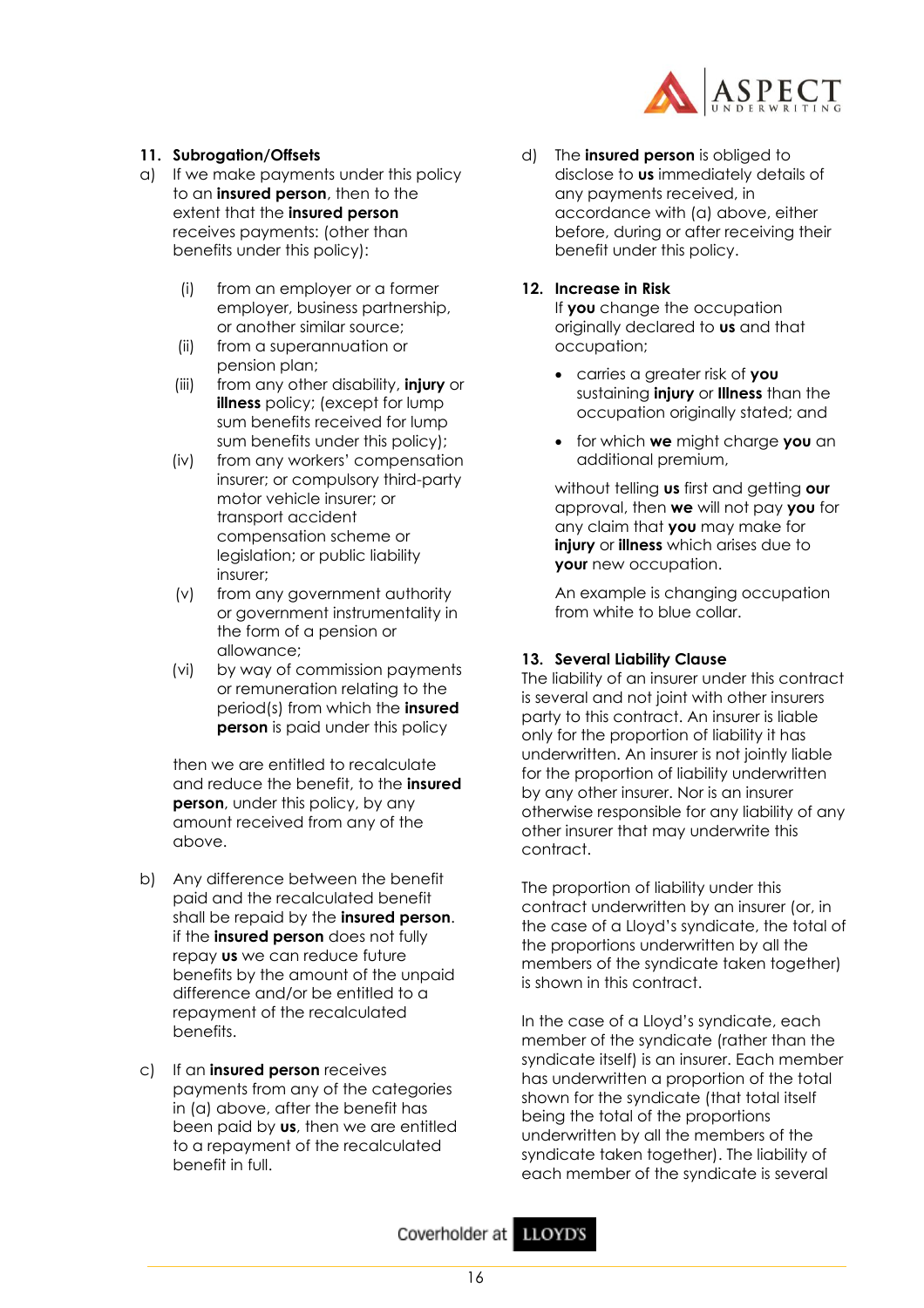

## **11. Subrogation/Offsets**

- a) If we make payments under this policy to an **insured person**, then to the extent that the **insured person** receives payments: (other than benefits under this policy):
	- (i) from an employer or a former employer, business partnership, or another similar source;
	- (ii) from a superannuation or pension plan;
	- (iii) from any other disability, **injury** or **illness** policy; (except for lump sum benefits received for lump sum benefits under this policy);
	- (iv) from any workers' compensation insurer; or compulsory third-party motor vehicle insurer; or transport accident compensation scheme or legislation; or public liability insurer;
	- (v) from any government authority or government instrumentality in the form of a pension or allowance;
	- (vi) by way of commission payments or remuneration relating to the period(s) from which the **insured person** is paid under this policy

then we are entitled to recalculate and reduce the benefit, to the **insured person**, under this policy, by any amount received from any of the above.

- b) Any difference between the benefit paid and the recalculated benefit shall be repaid by the **insured person**. if the **insured person** does not fully repay **us** we can reduce future benefits by the amount of the unpaid difference and/or be entitled to a repayment of the recalculated benefits.
- c) If an **insured person** receives payments from any of the categories in (a) above, after the benefit has been paid by **us**, then we are entitled to a repayment of the recalculated benefit in full.

d) The **insured person** is obliged to disclose to **us** immediately details of any payments received, in accordance with (a) above, either before, during or after receiving their benefit under this policy.

## **12. Increase in Risk**

If **you** change the occupation originally declared to **us** and that occupation;

- carries a greater risk of **you** sustaining **injury** or **Illness** than the occupation originally stated; and
- for which **we** might charge **you** an additional premium,

without telling **us** first and getting **our** approval, then **we** will not pay **you** for any claim that **you** may make for **injury** or **illness** which arises due to **your** new occupation.

An example is changing occupation from white to blue collar.

## **13. Several Liability Clause**

The liability of an insurer under this contract is several and not joint with other insurers party to this contract. An insurer is liable only for the proportion of liability it has underwritten. An insurer is not jointly liable for the proportion of liability underwritten by any other insurer. Nor is an insurer otherwise responsible for any liability of any other insurer that may underwrite this contract.

The proportion of liability under this contract underwritten by an insurer (or, in the case of a Lloyd's syndicate, the total of the proportions underwritten by all the members of the syndicate taken together) is shown in this contract.

In the case of a Lloyd's syndicate, each member of the syndicate (rather than the syndicate itself) is an insurer. Each member has underwritten a proportion of the total shown for the syndicate (that total itself being the total of the proportions underwritten by all the members of the syndicate taken together). The liability of each member of the syndicate is several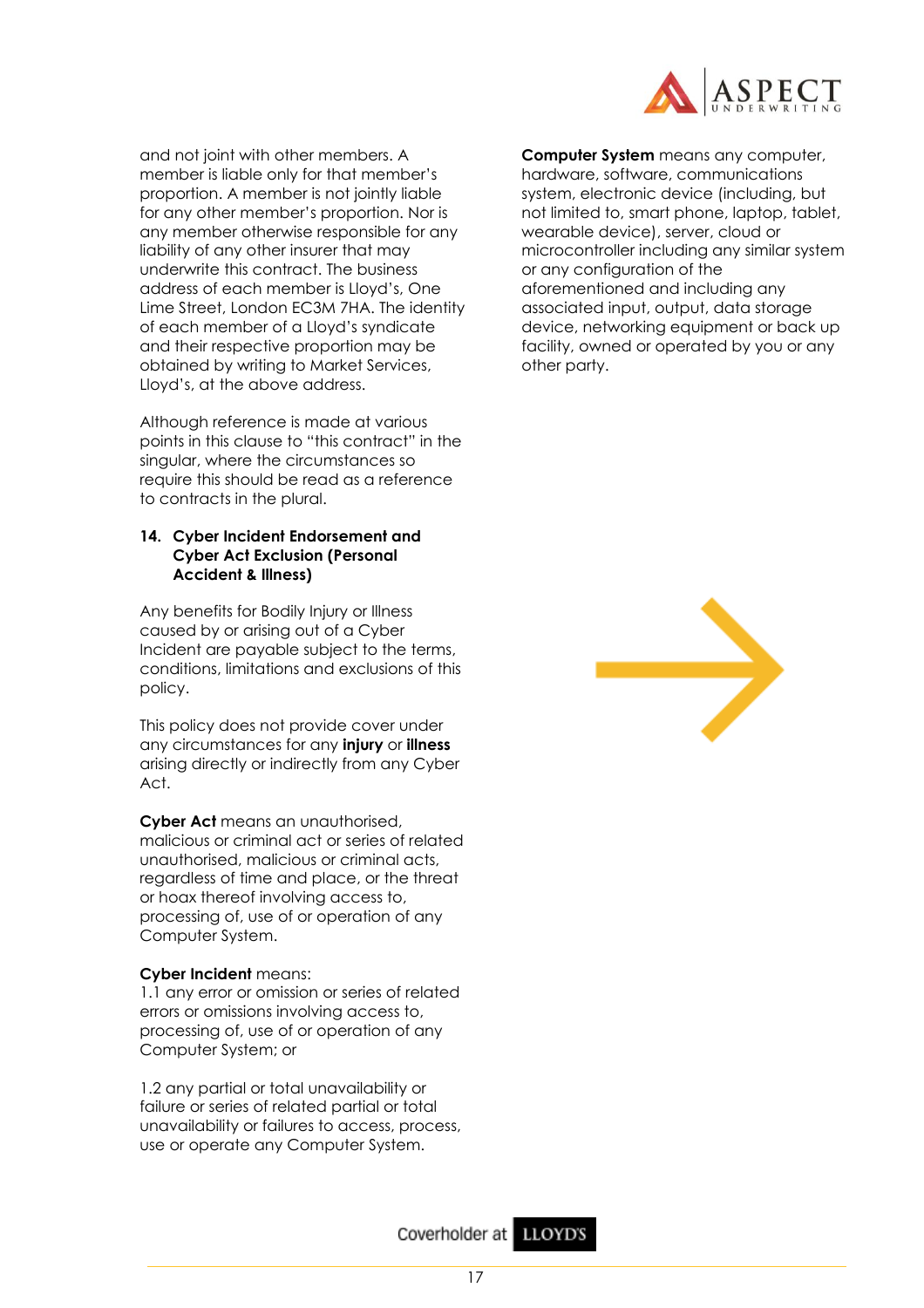

and not joint with other members. A member is liable only for that member's proportion. A member is not jointly liable for any other member's proportion. Nor is any member otherwise responsible for any liability of any other insurer that may underwrite this contract. The business address of each member is Lloyd's, One Lime Street, London EC3M 7HA. The identity of each member of a Lloyd's syndicate and their respective proportion may be obtained by writing to Market Services, Lloyd's, at the above address.

Although reference is made at various points in this clause to "this contract" in the singular, where the circumstances so require this should be read as a reference to contracts in the plural.

## **14. Cyber Incident Endorsement and Cyber Act Exclusion (Personal Accident & Illness)**

Any benefits for Bodily Injury or Illness caused by or arising out of a Cyber Incident are payable subject to the terms, conditions, limitations and exclusions of this policy.

This policy does not provide cover under any circumstances for any **injury** or **illness** arising directly or indirectly from any Cyber Act.

**Cyber Act** means an unauthorised, malicious or criminal act or series of related unauthorised, malicious or criminal acts, regardless of time and place, or the threat or hoax thereof involving access to, processing of, use of or operation of any Computer System.

## **Cyber Incident** means:

1.1 any error or omission or series of related errors or omissions involving access to, processing of, use of or operation of any Computer System; or

1.2 any partial or total unavailability or failure or series of related partial or total unavailability or failures to access, process, use or operate any Computer System.

**Computer System** means any computer, hardware, software, communications system, electronic device (including, but not limited to, smart phone, laptop, tablet, wearable device), server, cloud or microcontroller including any similar system or any configuration of the aforementioned and including any associated input, output, data storage device, networking equipment or back up facility, owned or operated by you or any other party.

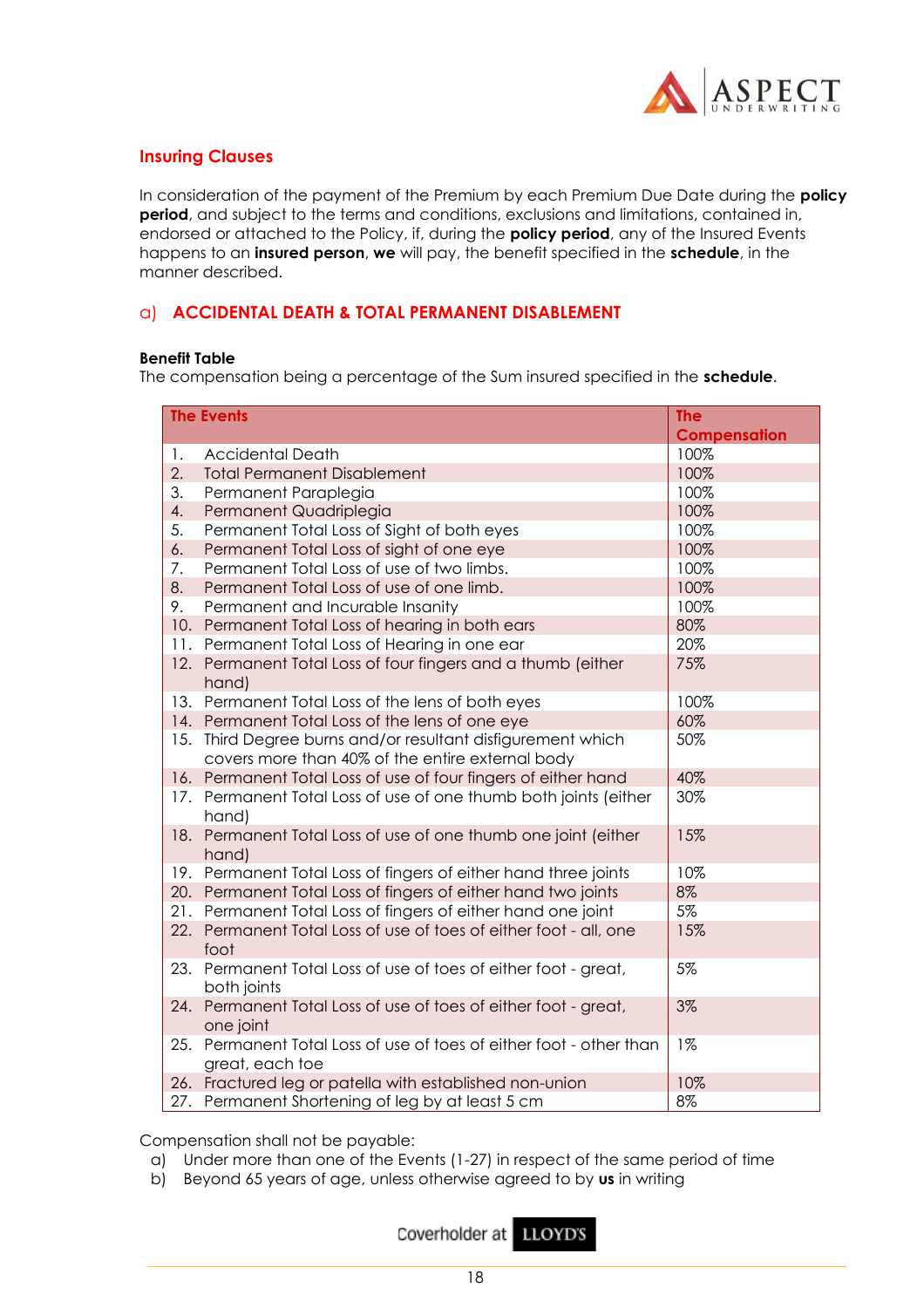

## **Insuring Clauses**

In consideration of the payment of the Premium by each Premium Due Date during the **policy period**, and subject to the terms and conditions, exclusions and limitations, contained in, endorsed or attached to the Policy, if, during the **policy period**, any of the Insured Events happens to an **insured person**, **we** will pay, the benefit specified in the **schedule**, in the manner described.

## a) **ACCIDENTAL DEATH & TOTAL PERMANENT DISABLEMENT**

#### **Benefit Table**

The compensation being a percentage of the Sum insured specified in the **schedule**.

|     | <b>The Events</b>                                                                                           | <b>The</b>          |
|-----|-------------------------------------------------------------------------------------------------------------|---------------------|
|     |                                                                                                             | <b>Compensation</b> |
| 1.  | <b>Accidental Death</b>                                                                                     | 100%                |
| 2.  | <b>Total Permanent Disablement</b>                                                                          | 100%                |
| 3.  | Permanent Paraplegia                                                                                        | 100%                |
| 4.  | Permanent Quadriplegia                                                                                      | 100%                |
| 5.  | Permanent Total Loss of Sight of both eyes                                                                  | 100%                |
| 6.  | Permanent Total Loss of sight of one eye                                                                    | 100%                |
| 7.  | Permanent Total Loss of use of two limbs.                                                                   | 100%                |
| 8.  | Permanent Total Loss of use of one limb.                                                                    | 100%                |
| 9.  | Permanent and Incurable Insanity                                                                            | 100%                |
| 10. | Permanent Total Loss of hearing in both ears                                                                | 80%                 |
| 11. | Permanent Total Loss of Hearing in one ear                                                                  | 20%                 |
| 12. | Permanent Total Loss of four fingers and a thumb (either<br>hand)                                           | 75%                 |
| 13. | Permanent Total Loss of the lens of both eyes                                                               | 100%                |
| 14. | Permanent Total Loss of the lens of one eye                                                                 | 60%                 |
| 15. | Third Degree burns and/or resultant disfigurement which<br>covers more than 40% of the entire external body | 50%                 |
| 16. | Permanent Total Loss of use of four fingers of either hand                                                  | 40%                 |
| 17. | Permanent Total Loss of use of one thumb both joints (either<br>hand)                                       | 30%                 |
| 18. | Permanent Total Loss of use of one thumb one joint (either<br>hand)                                         | 15%                 |
| 19. | Permanent Total Loss of fingers of either hand three joints                                                 | 10%                 |
|     | 20. Permanent Total Loss of fingers of either hand two joints                                               | 8%                  |
| 21. | Permanent Total Loss of fingers of either hand one joint                                                    | 5%                  |
| 22. | Permanent Total Loss of use of toes of either foot - all, one<br>foot                                       | 15%                 |
| 23. | Permanent Total Loss of use of toes of either foot - great,<br>both joints                                  | 5%                  |
| 24. | Permanent Total Loss of use of toes of either foot - great,<br>one joint                                    | 3%                  |
| 25. | Permanent Total Loss of use of toes of either foot - other than<br>great, each toe                          | $1\%$               |
| 26. | Fractured leg or patella with established non-union                                                         | 10%                 |
| 27. | Permanent Shortening of leg by at least 5 cm                                                                | 8%                  |

Compensation shall not be payable:

- a) Under more than one of the Events (1-27) in respect of the same period of time
- b) Beyond 65 years of age, unless otherwise agreed to by **us** in writing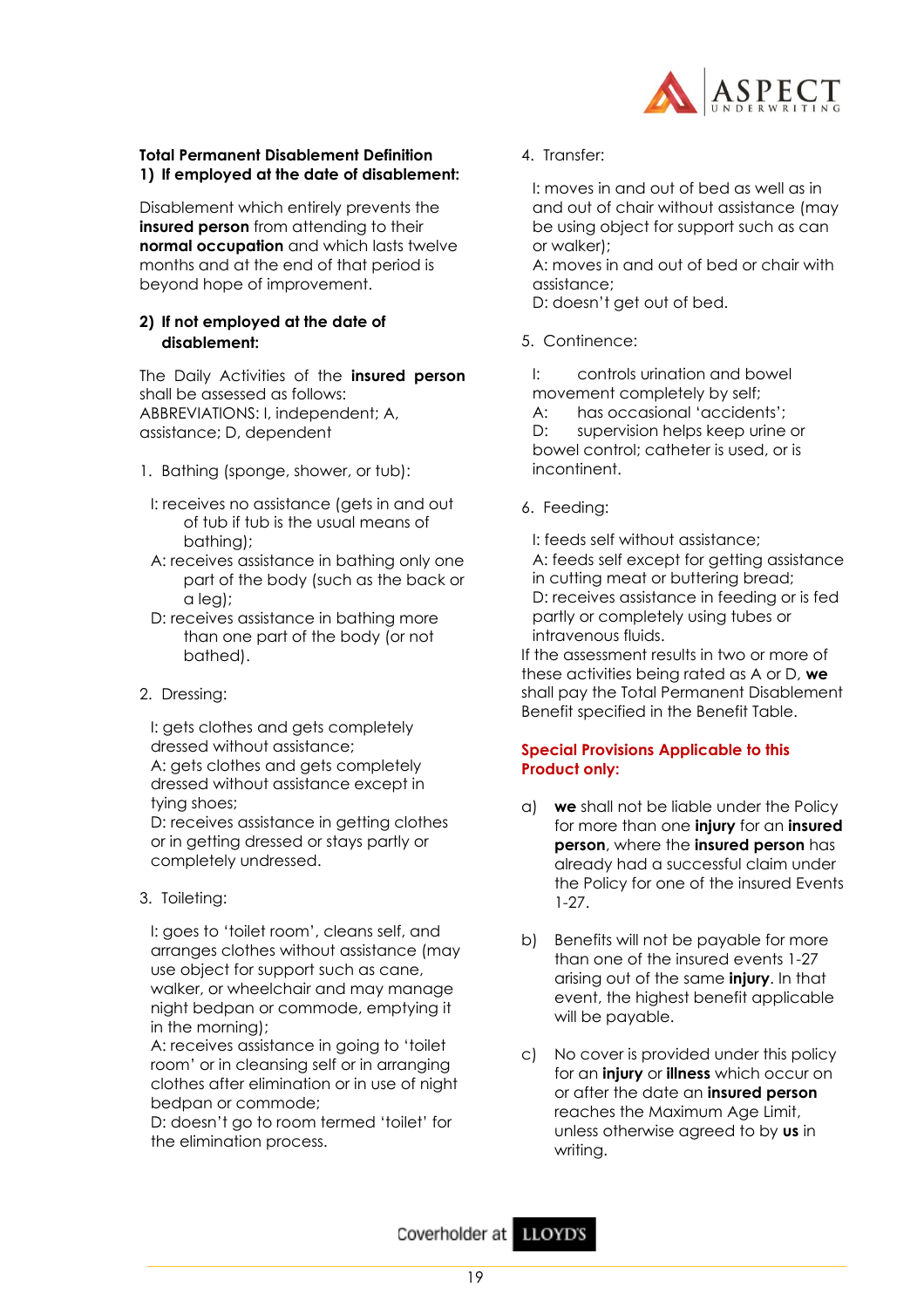

## **Total Permanent Disablement Definition 1) If employed at the date of disablement:**

Disablement which entirely prevents the **insured person** from attending to their **normal occupation** and which lasts twelve months and at the end of that period is beyond hope of improvement.

## **2) If not employed at the date of disablement:**

The Daily Activities of the **insured person** shall be assessed as follows: ABBREVIATIONS: I, independent; A, assistance; D, dependent

- 1. Bathing (sponge, shower, or tub):
- I: receives no assistance (gets in and out of tub if tub is the usual means of bathing);
- A: receives assistance in bathing only one part of the body (such as the back or a leg);
- D: receives assistance in bathing more than one part of the body (or not bathed).
- 2. Dressing:

I: gets clothes and gets completely dressed without assistance; A: gets clothes and gets completely dressed without assistance except in tying shoes;

D: receives assistance in getting clothes or in getting dressed or stays partly or completely undressed.

3. Toileting:

I: goes to 'toilet room', cleans self, and arranges clothes without assistance (may use object for support such as cane, walker, or wheelchair and may manage night bedpan or commode, emptying it in the morning);

A: receives assistance in going to 'toilet room' or in cleansing self or in arranging clothes after elimination or in use of night bedpan or commode;

D: doesn't go to room termed 'toilet' for the elimination process.

4. Transfer:

I: moves in and out of bed as well as in and out of chair without assistance (may be using object for support such as can or walker);

A: moves in and out of bed or chair with assistance;

D: doesn't get out of bed.

5. Continence:

I: controls urination and bowel movement completely by self;

A: has occasional 'accidents'; D: supervision helps keep urine or bowel control; catheter is used, or is incontinent.

6. Feeding:

I: feeds self without assistance; A: feeds self except for getting assistance in cutting meat or buttering bread; D: receives assistance in feeding or is fed partly or completely using tubes or intravenous fluids.

If the assessment results in two or more of these activities being rated as A or D, **we** shall pay the Total Permanent Disablement Benefit specified in the Benefit Table.

## **Special Provisions Applicable to this Product only:**

- a) **we** shall not be liable under the Policy for more than one **injury** for an **insured person**, where the **insured person** has already had a successful claim under the Policy for one of the insured Events 1-27.
- b) Benefits will not be payable for more than one of the insured events 1-27 arising out of the same **injury**. In that event, the highest benefit applicable will be payable.
- c) No cover is provided under this policy for an **injury** or **illness** which occur on or after the date an **insured person** reaches the Maximum Age Limit, unless otherwise agreed to by **us** in writing.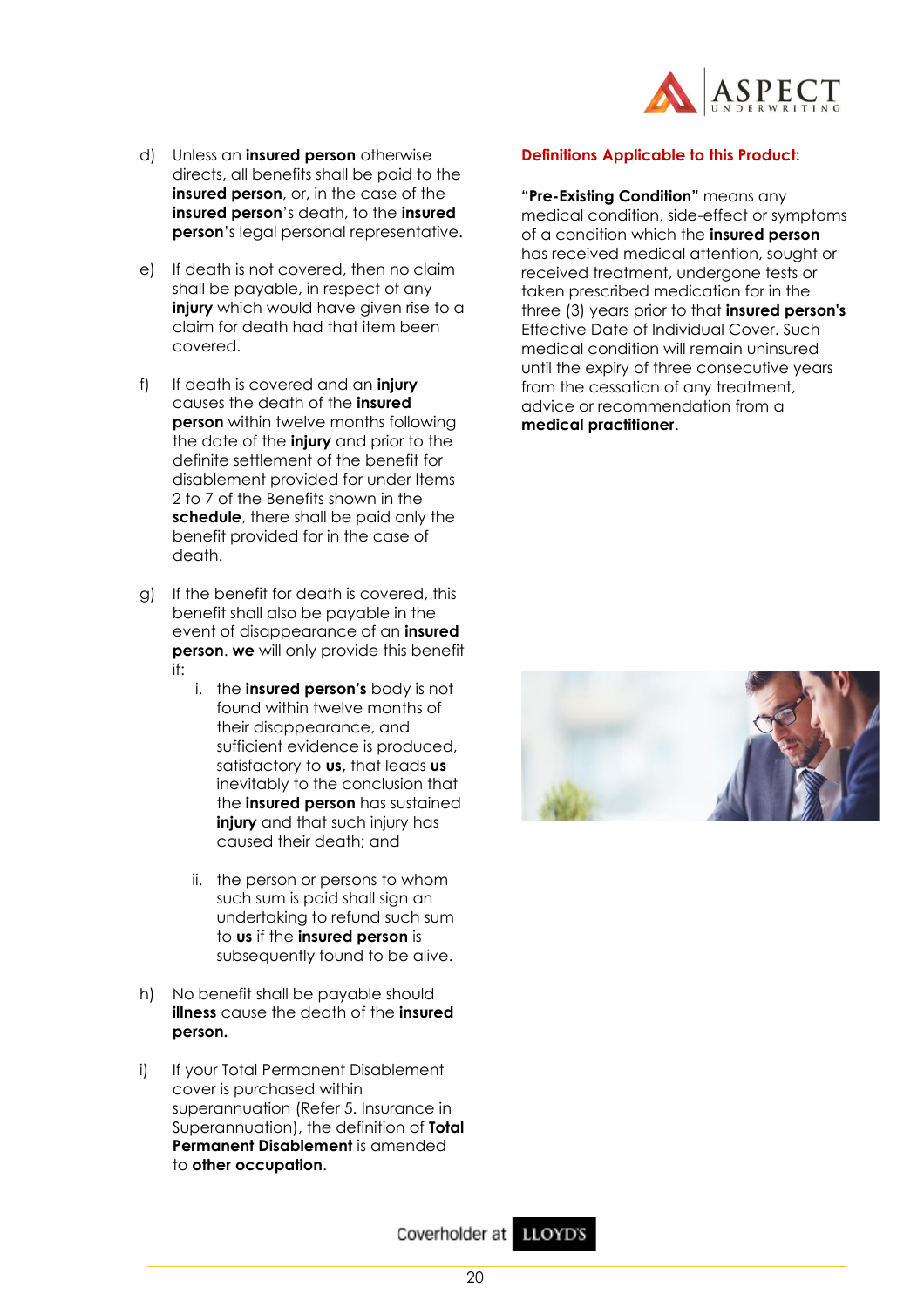

- d) Unless an **insured person** otherwise directs, all benefits shall be paid to the **insured person**, or, in the case of the **insured person**'s death, to the **insured person**'s legal personal representative.
- e) If death is not covered, then no claim shall be payable, in respect of any **injury** which would have given rise to a claim for death had that item been covered.
- f) If death is covered and an **injury**  causes the death of the **insured person** within twelve months following the date of the **injury** and prior to the definite settlement of the benefit for disablement provided for under Items 2 to 7 of the Benefits shown in the **schedule**, there shall be paid only the benefit provided for in the case of death.
- g) If the benefit for death is covered, this benefit shall also be payable in the event of disappearance of an **insured person**. **we** will only provide this benefit if:
	- i. the **insured person's** body is not found within twelve months of their disappearance, and sufficient evidence is produced, satisfactory to **us,** that leads **us**  inevitably to the conclusion that the **insured person** has sustained **injury** and that such injury has caused their death; and
	- ii. the person or persons to whom such sum is paid shall sign an undertaking to refund such sum to **us** if the **insured person** is subsequently found to be alive.
- h) No benefit shall be payable should **illness** cause the death of the **insured person.**
- i) If your Total Permanent Disablement cover is purchased within superannuation (Refer 5. Insurance in Superannuation), the definition of **Total Permanent Disablement** is amended to **other occupation**.

## **Definitions Applicable to this Product:**

**"Pre-Existing Condition"** means any medical condition, side-effect or symptoms of a condition which the **insured person** has received medical attention, sought or received treatment, undergone tests or taken prescribed medication for in the three (3) years prior to that **insured person's** Effective Date of Individual Cover. Such medical condition will remain uninsured until the expiry of three consecutive years from the cessation of any treatment, advice or recommendation from a **medical practitioner**.



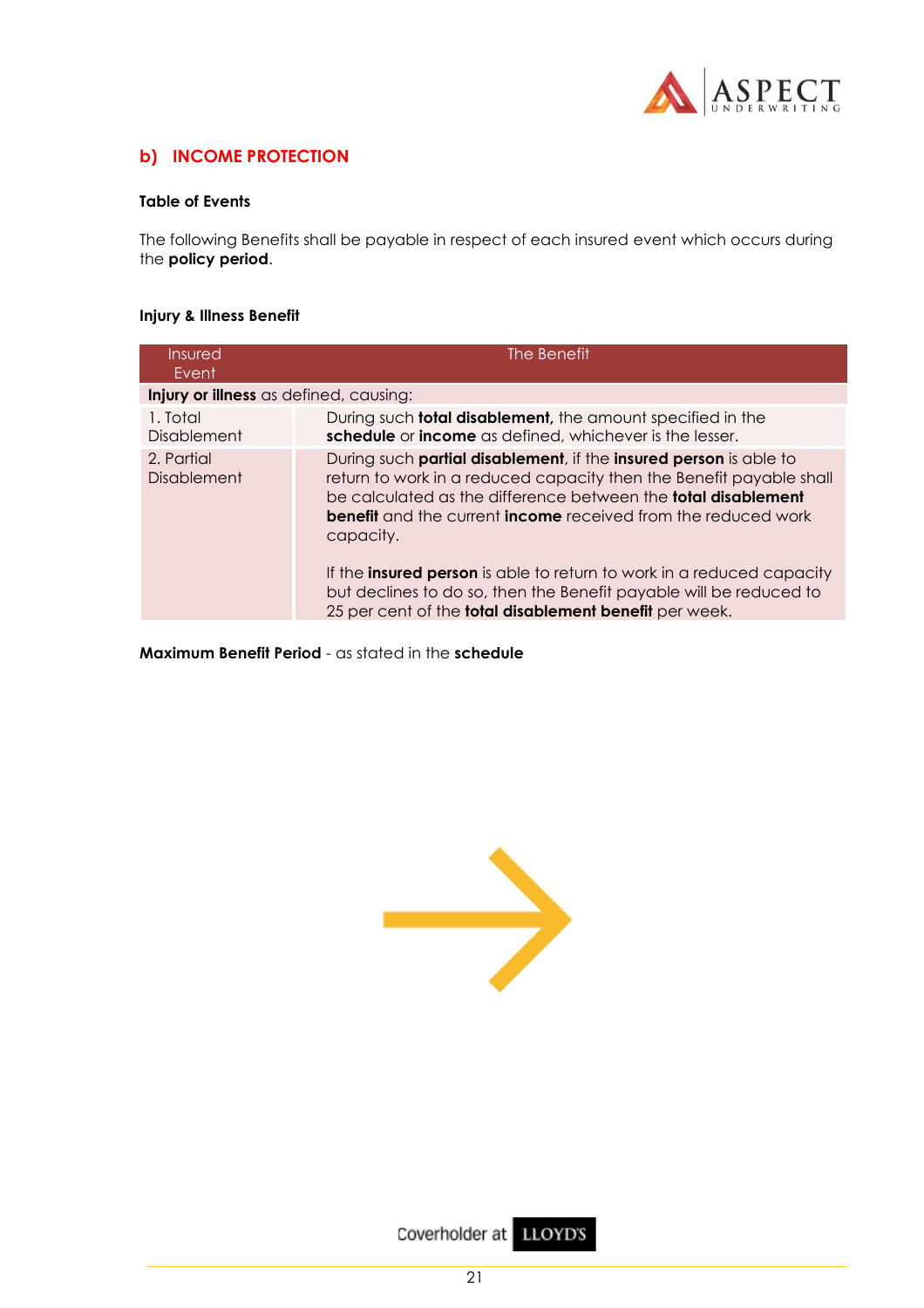

## **b) INCOME PROTECTION**

## **Table of Events**

The following Benefits shall be payable in respect of each insured event which occurs during the **policy period**.

## **Injury & Illness Benefit**

| Insured<br>Event                       | The Benefit                                                                                                                                                                                                                                                                                                                                                                                                                                                                                                                         |  |  |  |  |
|----------------------------------------|-------------------------------------------------------------------------------------------------------------------------------------------------------------------------------------------------------------------------------------------------------------------------------------------------------------------------------------------------------------------------------------------------------------------------------------------------------------------------------------------------------------------------------------|--|--|--|--|
| Injury or illness as defined, causing: |                                                                                                                                                                                                                                                                                                                                                                                                                                                                                                                                     |  |  |  |  |
| 1. Total<br>Disablement                | During such <b>total disablement</b> , the amount specified in the<br>schedule or income as defined, whichever is the lesser.                                                                                                                                                                                                                                                                                                                                                                                                       |  |  |  |  |
| 2. Partial<br>Disablement              | During such partial disablement, if the insured person is able to<br>return to work in a reduced capacity then the Benefit payable shall<br>be calculated as the difference between the <b>total disablement</b><br><b>benefit</b> and the current <b>income</b> received from the reduced work<br>capacity.<br>If the <b>insured person</b> is able to return to work in a reduced capacity<br>but declines to do so, then the Benefit payable will be reduced to<br>25 per cent of the <b>total disablement benefit</b> per week. |  |  |  |  |

**Maximum Benefit Period** - as stated in the **schedule**



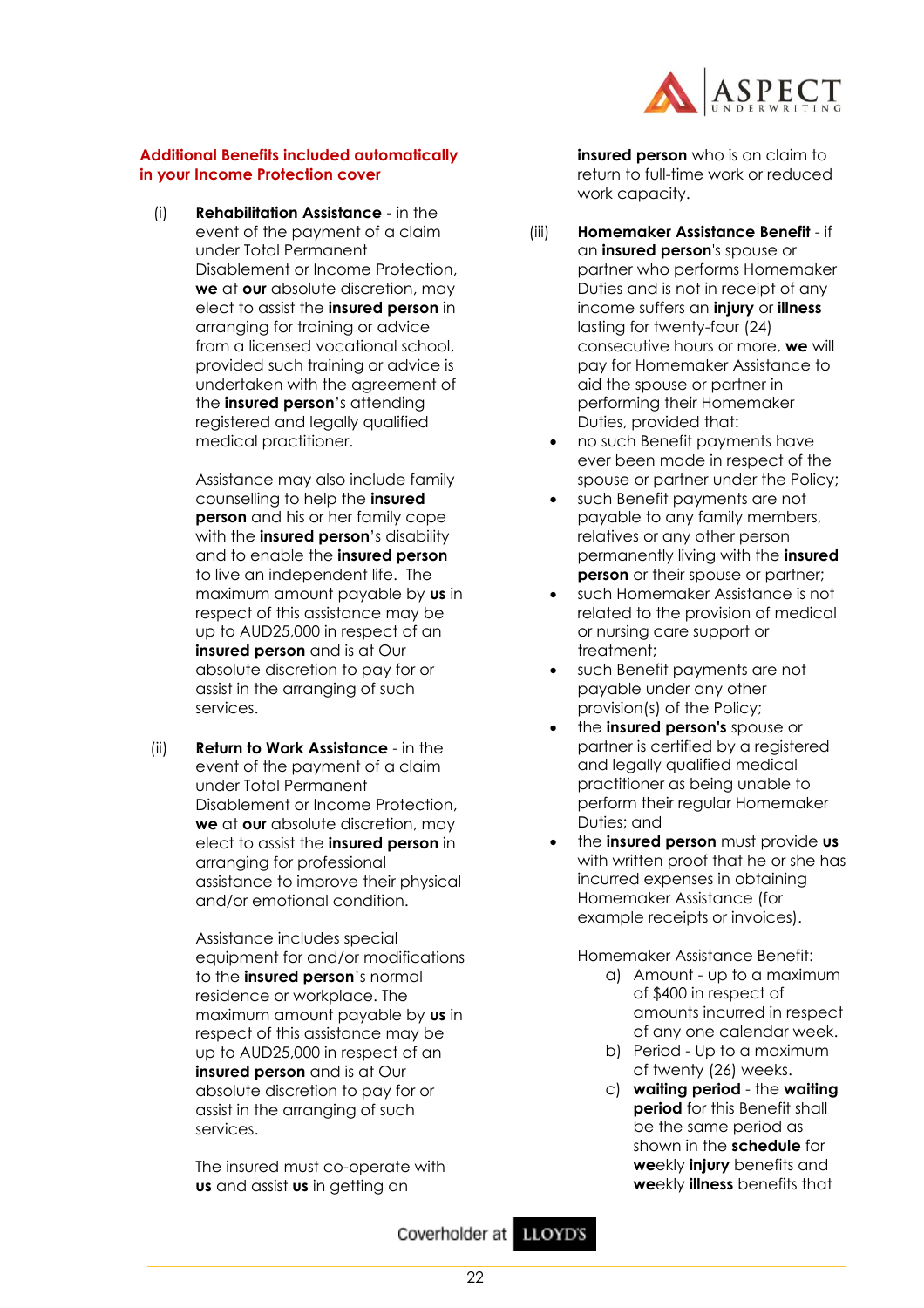

## **Additional Benefits included automatically in your Income Protection cover**

(i) **Rehabilitation Assistance** - in the event of the payment of a claim under Total Permanent Disablement or Income Protection, **we** at **our** absolute discretion, may elect to assist the **insured person** in arranging for training or advice from a licensed vocational school, provided such training or advice is undertaken with the agreement of the **insured person**'s attending registered and legally qualified medical practitioner.

> Assistance may also include family counselling to help the **insured person** and his or her family cope with the **insured person**'s disability and to enable the **insured person** to live an independent life. The maximum amount payable by **us** in respect of this assistance may be up to AUD25,000 in respect of an **insured person** and is at Our absolute discretion to pay for or assist in the arranging of such services.

(ii) **Return to Work Assistance** - in the event of the payment of a claim under Total Permanent Disablement or Income Protection, **we** at **our** absolute discretion, may elect to assist the **insured person** in arranging for professional assistance to improve their physical and/or emotional condition.

> Assistance includes special equipment for and/or modifications to the **insured person**'s normal residence or workplace. The maximum amount payable by **us** in respect of this assistance may be up to AUD25,000 in respect of an **insured person** and is at Our absolute discretion to pay for or assist in the arranging of such services.

The insured must co-operate with **us** and assist **us** in getting an

**insured person** who is on claim to return to full-time work or reduced work capacity.

- (iii) **Homemaker Assistance Benefit** if an **insured person**'s spouse or partner who performs Homemaker Duties and is not in receipt of any income suffers an **injury** or **illness** lasting for twenty-four (24) consecutive hours or more, **we** will pay for Homemaker Assistance to aid the spouse or partner in performing their Homemaker Duties, provided that:
	- no such Benefit payments have ever been made in respect of the spouse or partner under the Policy;
	- such Benefit payments are not payable to any family members, relatives or any other person permanently living with the **insured person** or their spouse or partner;
	- such Homemaker Assistance is not related to the provision of medical or nursing care support or treatment;
	- such Benefit payments are not payable under any other provision(s) of the Policy;
	- the **insured person's** spouse or partner is certified by a registered and legally qualified medical practitioner as being unable to perform their regular Homemaker Duties; and
	- the **insured person** must provide **us** with written proof that he or she has incurred expenses in obtaining Homemaker Assistance (for example receipts or invoices).

Homemaker Assistance Benefit:

- a) Amount up to a maximum of \$400 in respect of amounts incurred in respect of any one calendar week.
- b) Period Up to a maximum of twenty (26) weeks.
- c) **waiting period** the **waiting period** for this Benefit shall be the same period as shown in the **schedule** for **we**ekly **injury** benefits and **we**ekly **illness** benefits that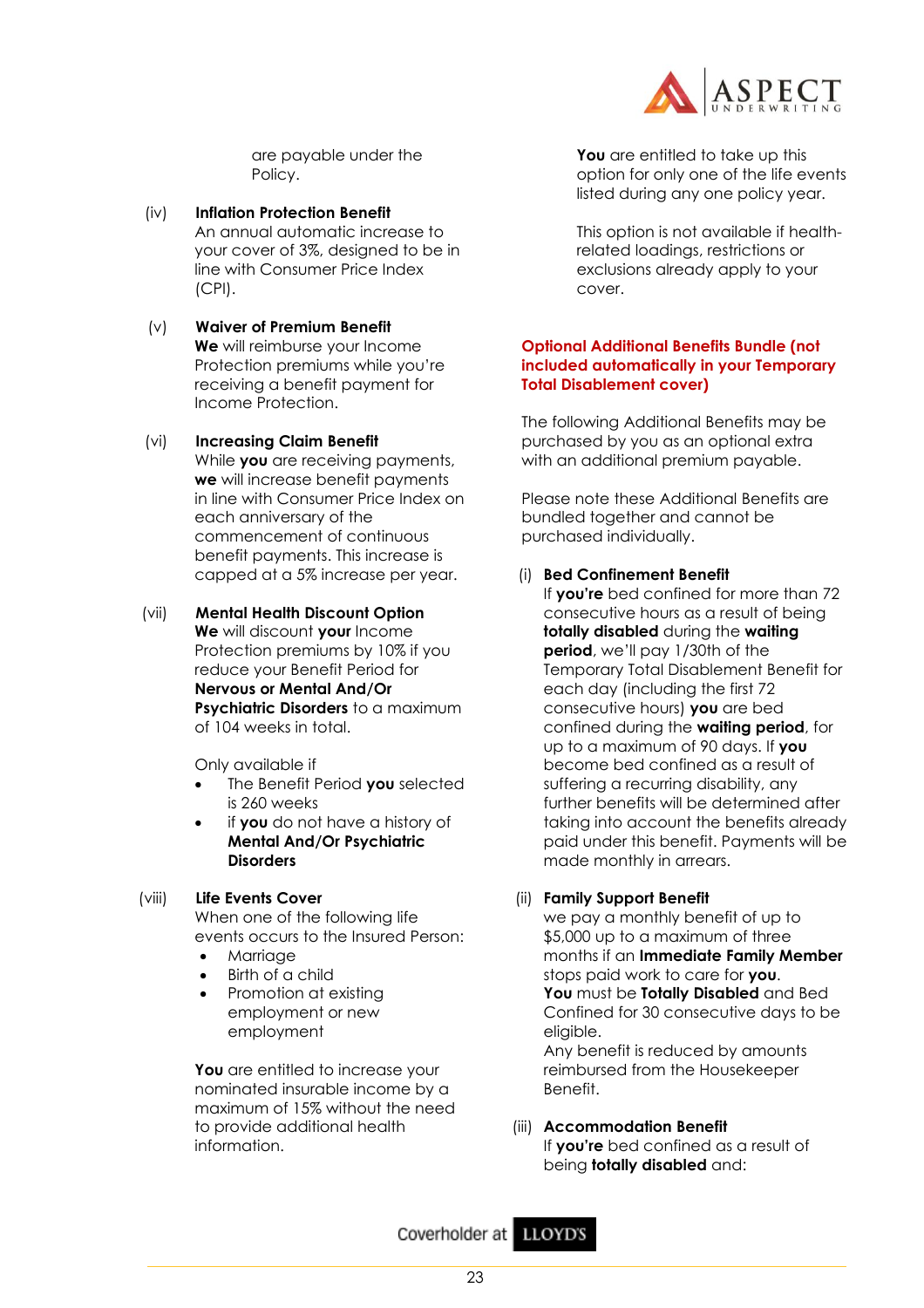

are payable under the Policy.

- (iv) **Inflation Protection Benefit** An annual automatic increase to your cover of 3%, designed to be in line with Consumer Price Index (CPI).
- (v) **Waiver of Premium Benefit We** will reimburse your Income Protection premiums while you're receiving a benefit payment for Income Protection.
- (vi) **Increasing Claim Benefit** While **you** are receiving payments, **we** will increase benefit payments in line with Consumer Price Index on each anniversary of the commencement of continuous benefit payments. This increase is capped at a 5% increase per year.
- (vii) **Mental Health Discount Option We** will discount **your** Income Protection premiums by 10% if you reduce your Benefit Period for **Nervous or Mental And/Or Psychiatric Disorders** to a maximum of 104 weeks in total.

Only available if

- The Benefit Period **you** selected is 260 weeks
- if **you** do not have a history of **Mental And/Or Psychiatric Disorders**
- (viii) **Life Events Cover**

When one of the following life events occurs to the Insured Person:

- Marriage
- Birth of a child
- Promotion at existing employment or new employment

**You** are entitled to increase your nominated insurable income by a maximum of 15% without the need to provide additional health information.

**You** are entitled to take up this option for only one of the life events listed during any one policy year.

This option is not available if healthrelated loadings, restrictions or exclusions already apply to your cover.

## **Optional Additional Benefits Bundle (not included automatically in your Temporary Total Disablement cover)**

The following Additional Benefits may be purchased by you as an optional extra with an additional premium payable.

Please note these Additional Benefits are bundled together and cannot be purchased individually.

## (i) **Bed Confinement Benefit**

If **you're** bed confined for more than 72 consecutive hours as a result of being **totally disabled** during the **waiting period**, we'll pay 1/30th of the Temporary Total Disablement Benefit for each day (including the first 72 consecutive hours) **you** are bed confined during the **waiting period**, for up to a maximum of 90 days. If **you** become bed confined as a result of suffering a recurring disability, any further benefits will be determined after taking into account the benefits already paid under this benefit. Payments will be made monthly in arrears.

## (ii) **Family Support Benefit**

we pay a monthly benefit of up to \$5,000 up to a maximum of three months if an **Immediate Family Member** stops paid work to care for **you**. **You** must be **Totally Disabled** and Bed Confined for 30 consecutive days to be eligible. Any benefit is reduced by amounts reimbursed from the Housekeeper Benefit.

## (iii) **Accommodation Benefit** If **you're** bed confined as a result of being **totally disabled** and: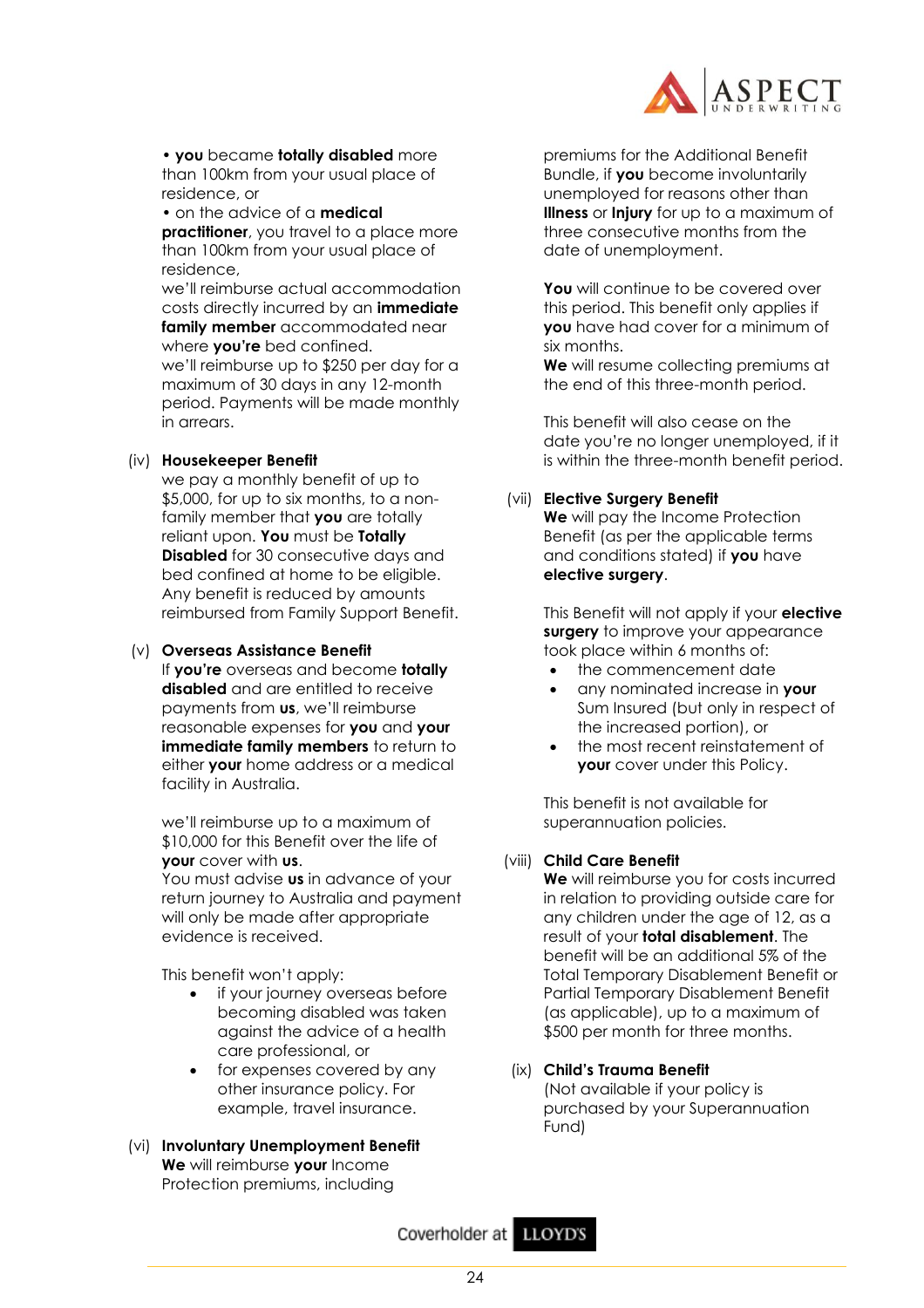

• **you** became **totally disabled** more than 100km from your usual place of residence, or

• on the advice of a **medical practitioner**, you travel to a place more than 100km from your usual place of residence,

we'll reimburse actual accommodation costs directly incurred by an **immediate family member** accommodated near where **you're** bed confined. we'll reimburse up to \$250 per day for a maximum of 30 days in any 12-month period. Payments will be made monthly in arrears.

## (iv) **Housekeeper Benefit**

we pay a monthly benefit of up to \$5,000, for up to six months, to a nonfamily member that **you** are totally reliant upon. **You** must be **Totally Disabled** for 30 consecutive days and bed confined at home to be eligible. Any benefit is reduced by amounts reimbursed from Family Support Benefit.

#### (v) **Overseas Assistance Benefit**

If **you're** overseas and become **totally disabled** and are entitled to receive payments from **us**, we'll reimburse reasonable expenses for **you** and **your immediate family members** to return to either **your** home address or a medical facility in Australia.

we'll reimburse up to a maximum of \$10,000 for this Benefit over the life of **your** cover with **us**.

You must advise **us** in advance of your return journey to Australia and payment will only be made after appropriate evidence is received.

This benefit won't apply:

- if your journey overseas before becoming disabled was taken against the advice of a health care professional, or
- for expenses covered by any other insurance policy. For example, travel insurance.
- (vi) **Involuntary Unemployment Benefit We** will reimburse **your** Income Protection premiums, including

premiums for the Additional Benefit Bundle, if **you** become involuntarily unemployed for reasons other than **Illness** or **Injury** for up to a maximum of three consecutive months from the date of unemployment.

**You** will continue to be covered over this period. This benefit only applies if **you** have had cover for a minimum of six months.

**We** will resume collecting premiums at the end of this three-month period.

This benefit will also cease on the date you're no longer unemployed, if it is within the three-month benefit period.

## (vii) **Elective Surgery Benefit**

**We** will pay the Income Protection Benefit (as per the applicable terms and conditions stated) if **you** have **elective surgery**.

This Benefit will not apply if your **elective surgery** to improve your appearance took place within 6 months of:

- the commencement date
- any nominated increase in **your** Sum Insured (but only in respect of the increased portion), or
- the most recent reinstatement of **your** cover under this Policy.

This benefit is not available for superannuation policies.

## (viii) **Child Care Benefit**

**We** will reimburse you for costs incurred in relation to providing outside care for any children under the age of 12, as a result of your **total disablement**. The benefit will be an additional 5% of the Total Temporary Disablement Benefit or Partial Temporary Disablement Benefit (as applicable), up to a maximum of \$500 per month for three months.

## (ix) **Child's Trauma Benefit**

(Not available if your policy is purchased by your Superannuation Fund)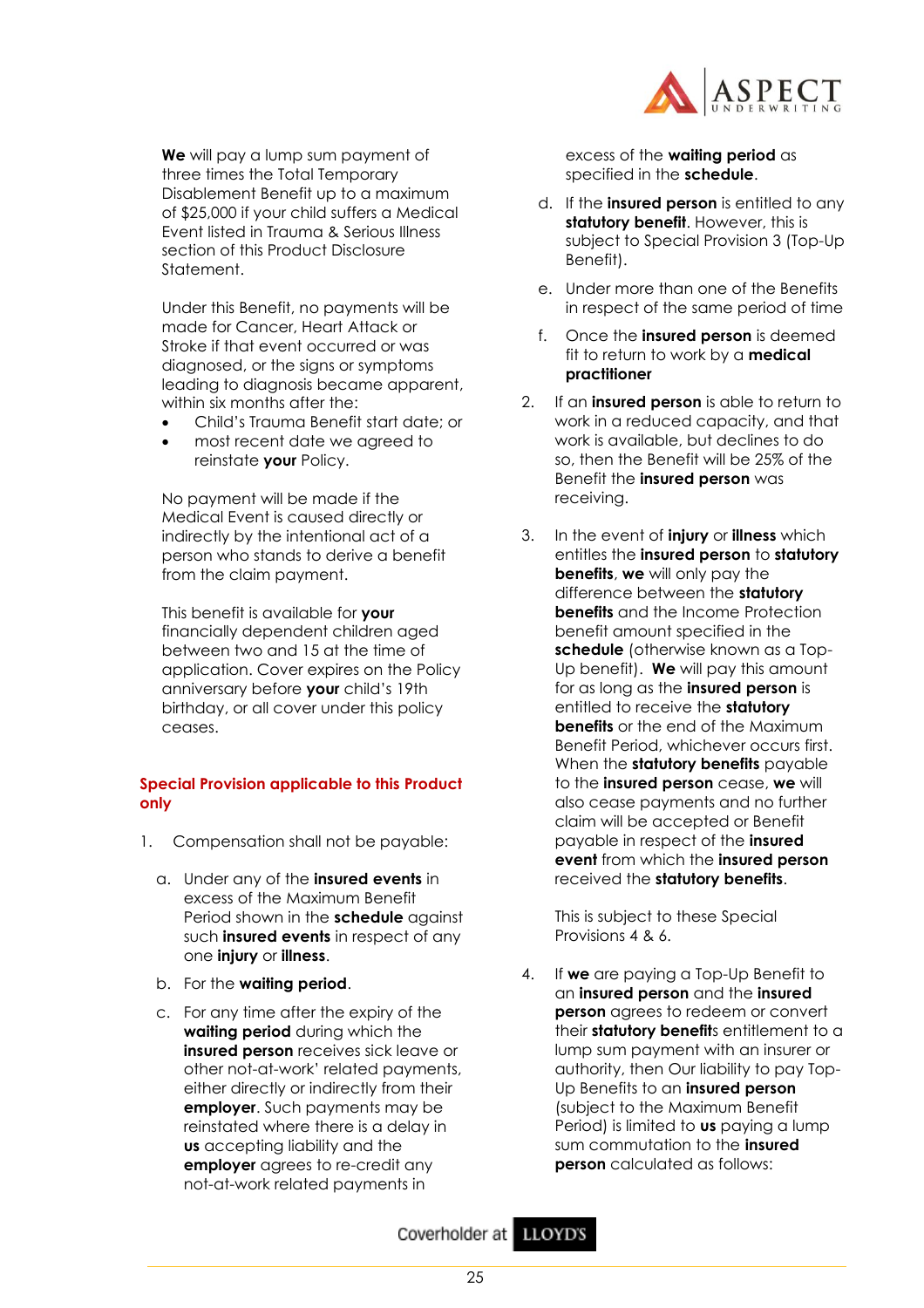

**We** will pay a lump sum payment of three times the Total Temporary Disablement Benefit up to a maximum of \$25,000 if your child suffers a Medical Event listed in Trauma & Serious Illness section of this Product Disclosure Statement.

Under this Benefit, no payments will be made for Cancer, Heart Attack or Stroke if that event occurred or was diagnosed, or the signs or symptoms leading to diagnosis became apparent, within six months after the:

- Child's Trauma Benefit start date; or
- most recent date we agreed to reinstate **your** Policy.

No payment will be made if the Medical Event is caused directly or indirectly by the intentional act of a person who stands to derive a benefit from the claim payment.

This benefit is available for **your**  financially dependent children aged between two and 15 at the time of application. Cover expires on the Policy anniversary before **your** child's 19th birthday, or all cover under this policy ceases.

## **Special Provision applicable to this Product only**

- 1. Compensation shall not be payable:
	- a. Under any of the **insured events** in excess of the Maximum Benefit Period shown in the **schedule** against such **insured events** in respect of any one **injury** or **illness**.
	- b. For the **waiting period**.
	- c. For any time after the expiry of the **waiting period** during which the **insured person** receives sick leave or other not-at-work' related payments, either directly or indirectly from their **employer**. Such payments may be reinstated where there is a delay in **us** accepting liability and the **employer** agrees to re-credit any not-at-work related payments in

excess of the **waiting period** as specified in the **schedule**.

- d. If the **insured person** is entitled to any **statutory benefit**. However, this is subject to Special Provision 3 (Top-Up Benefit).
- e. Under more than one of the Benefits in respect of the same period of time
- f. Once the **insured person** is deemed fit to return to work by a **medical practitioner**
- 2. If an **insured person** is able to return to work in a reduced capacity, and that work is available, but declines to do so, then the Benefit will be 25% of the Benefit the **insured person** was receiving.
- 3. In the event of **injury** or **illness** which entitles the **insured person** to **statutory benefits**, **we** will only pay the difference between the **statutory benefits** and the Income Protection benefit amount specified in the **schedule** (otherwise known as a Top-Up benefit). **We** will pay this amount for as long as the **insured person** is entitled to receive the **statutory benefits** or the end of the Maximum Benefit Period, whichever occurs first. When the **statutory benefits** payable to the **insured person** cease, **we** will also cease payments and no further claim will be accepted or Benefit payable in respect of the **insured event** from which the **insured person** received the **statutory benefits**.

This is subject to these Special Provisions 4 & 6.

4. If **we** are paying a Top-Up Benefit to an **insured person** and the **insured person** agrees to redeem or convert their **statutory benefit**s entitlement to a lump sum payment with an insurer or authority, then Our liability to pay Top-Up Benefits to an **insured person** (subject to the Maximum Benefit Period) is limited to **us** paying a lump sum commutation to the **insured person** calculated as follows: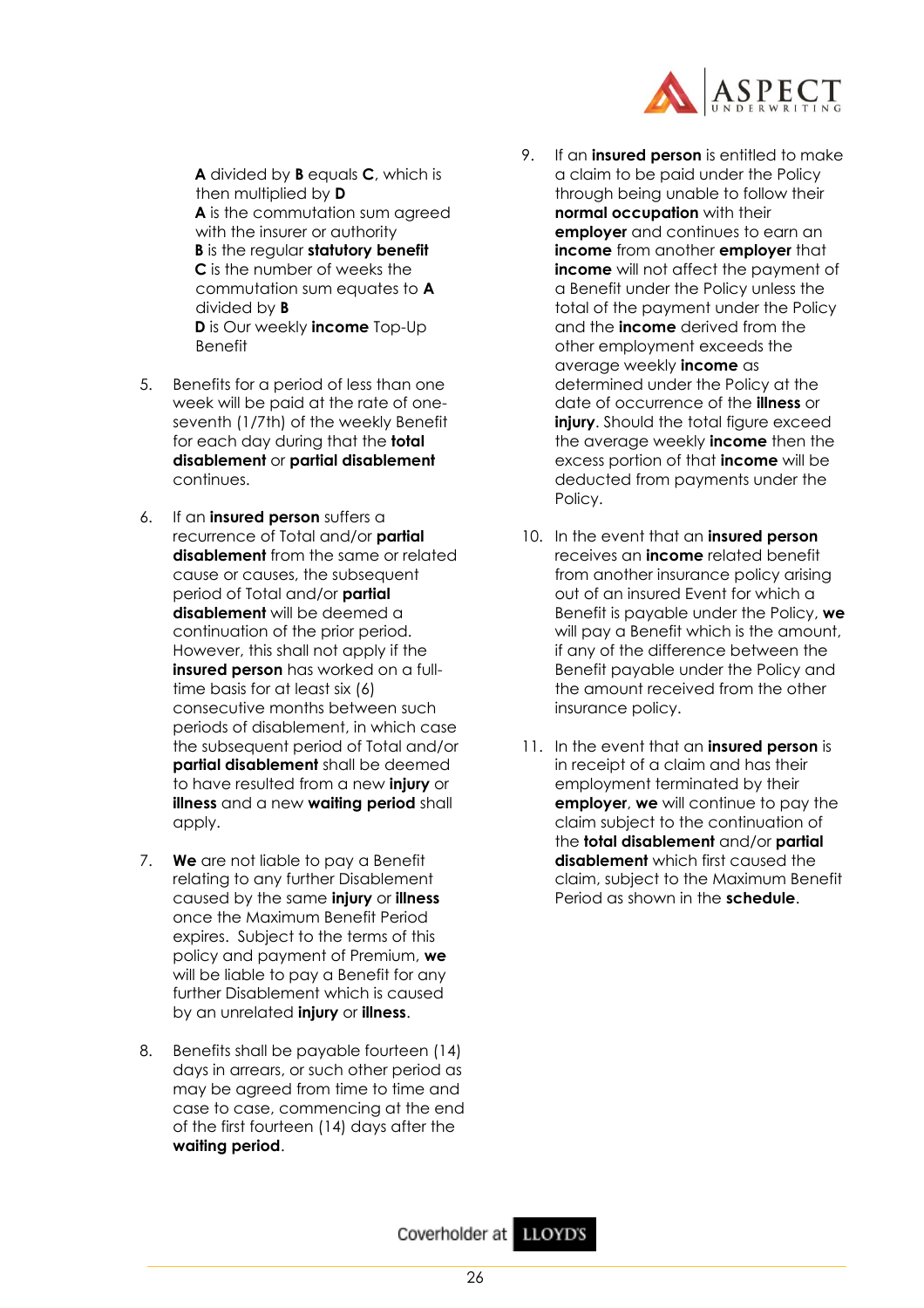

**A** divided by **B** equals **C**, which is then multiplied by **D A** is the commutation sum agreed with the insurer or authority **B** is the regular **statutory benefit C** is the number of weeks the commutation sum equates to **A** divided by **B D** is Our weekly **income** Top-Up Benefit

- 5. Benefits for a period of less than one week will be paid at the rate of oneseventh (1/7th) of the weekly Benefit for each day during that the **total disablement** or **partial disablement** continues.
- 6. If an **insured person** suffers a recurrence of Total and/or **partial disablement** from the same or related cause or causes, the subsequent period of Total and/or **partial disablement** will be deemed a continuation of the prior period. However, this shall not apply if the **insured person** has worked on a fulltime basis for at least six (6) consecutive months between such periods of disablement, in which case the subsequent period of Total and/or **partial disablement** shall be deemed to have resulted from a new **injury** or **illness** and a new **waiting period** shall apply.
- 7. **We** are not liable to pay a Benefit relating to any further Disablement caused by the same **injury** or **illness** once the Maximum Benefit Period expires. Subject to the terms of this policy and payment of Premium, **we** will be liable to pay a Benefit for any further Disablement which is caused by an unrelated **injury** or **illness**.
- 8. Benefits shall be payable fourteen (14) days in arrears, or such other period as may be agreed from time to time and case to case, commencing at the end of the first fourteen (14) days after the **waiting period**.
- 9. If an **insured person** is entitled to make a claim to be paid under the Policy through being unable to follow their **normal occupation** with their **employer** and continues to earn an **income** from another **employer** that **income** will not affect the payment of a Benefit under the Policy unless the total of the payment under the Policy and the **income** derived from the other employment exceeds the average weekly **income** as determined under the Policy at the date of occurrence of the **illness** or **injury**. Should the total figure exceed the average weekly **income** then the excess portion of that **income** will be deducted from payments under the Policy.
- 10. In the event that an **insured person** receives an **income** related benefit from another insurance policy arising out of an insured Event for which a Benefit is payable under the Policy, **we** will pay a Benefit which is the amount, if any of the difference between the Benefit payable under the Policy and the amount received from the other insurance policy.
- 11. In the event that an **insured person** is in receipt of a claim and has their employment terminated by their **employer**, **we** will continue to pay the claim subject to the continuation of the **total disablement** and/or **partial disablement** which first caused the claim, subject to the Maximum Benefit Period as shown in the **schedule**.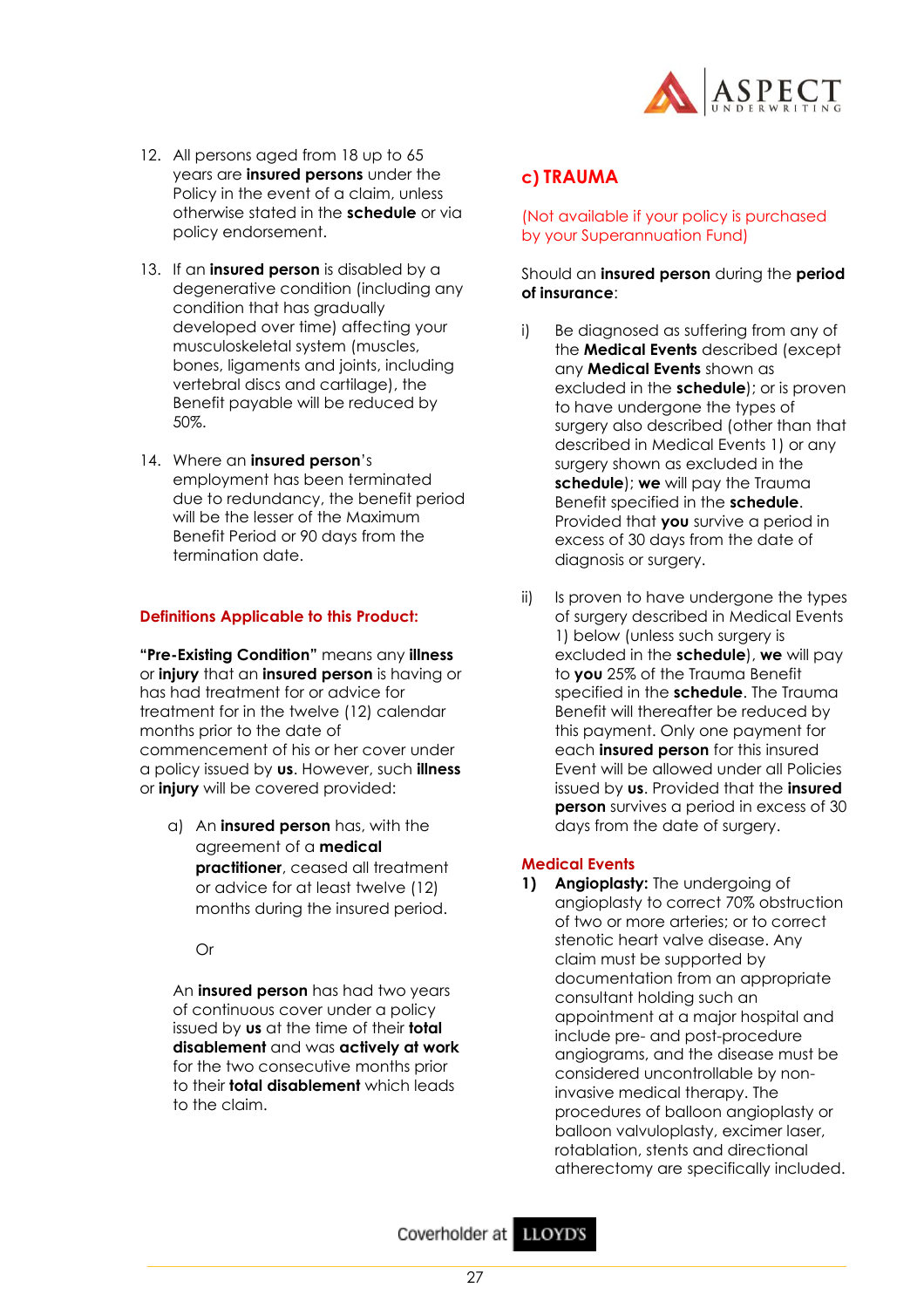

- 12. All persons aged from 18 up to 65 years are **insured persons** under the Policy in the event of a claim, unless otherwise stated in the **schedule** or via policy endorsement.
- 13. If an **insured person** is disabled by a degenerative condition (including any condition that has gradually developed over time) affecting your musculoskeletal system (muscles, bones, ligaments and joints, including vertebral discs and cartilage), the Benefit payable will be reduced by 50%.
- 14. Where an **insured person**'s employment has been terminated due to redundancy, the benefit period will be the lesser of the Maximum Benefit Period or 90 days from the termination date.

#### **Definitions Applicable to this Product:**

**"Pre-Existing Condition"** means any **illness** or **injury** that an **insured person** is having or has had treatment for or advice for treatment for in the twelve (12) calendar months prior to the date of commencement of his or her cover under a policy issued by **us**. However, such **illness** or **injury** will be covered provided:

a) An **insured person** has, with the agreement of a **medical practitioner**, ceased all treatment or advice for at least twelve (12) months during the insured period.

Or

An **insured person** has had two years of continuous cover under a policy issued by **us** at the time of their **total disablement** and was **actively at work** for the two consecutive months prior to their **total disablement** which leads to the claim.

## **c) TRAUMA**

#### (Not available if your policy is purchased by your Superannuation Fund)

#### Should an **insured person** during the **period of insurance**:

- i) Be diagnosed as suffering from any of the **Medical Events** described (except any **Medical Events** shown as excluded in the **schedule**); or is proven to have undergone the types of surgery also described (other than that described in Medical Events 1) or any surgery shown as excluded in the **schedule**); **we** will pay the Trauma Benefit specified in the **schedule**. Provided that **you** survive a period in excess of 30 days from the date of diagnosis or surgery.
- ii) Is proven to have undergone the types of surgery described in Medical Events 1) below (unless such surgery is excluded in the **schedule**), **we** will pay to **you** 25% of the Trauma Benefit specified in the **schedule**. The Trauma Benefit will thereafter be reduced by this payment. Only one payment for each **insured person** for this insured Event will be allowed under all Policies issued by **us**. Provided that the **insured person** survives a period in excess of 30 days from the date of surgery.

#### **Medical Events**

**1) Angioplasty:** The undergoing of angioplasty to correct 70% obstruction of two or more arteries; or to correct stenotic heart valve disease. Any claim must be supported by documentation from an appropriate consultant holding such an appointment at a major hospital and include pre- and post-procedure angiograms, and the disease must be considered uncontrollable by noninvasive medical therapy. The procedures of balloon angioplasty or balloon valvuloplasty, excimer laser, rotablation, stents and directional atherectomy are specifically included.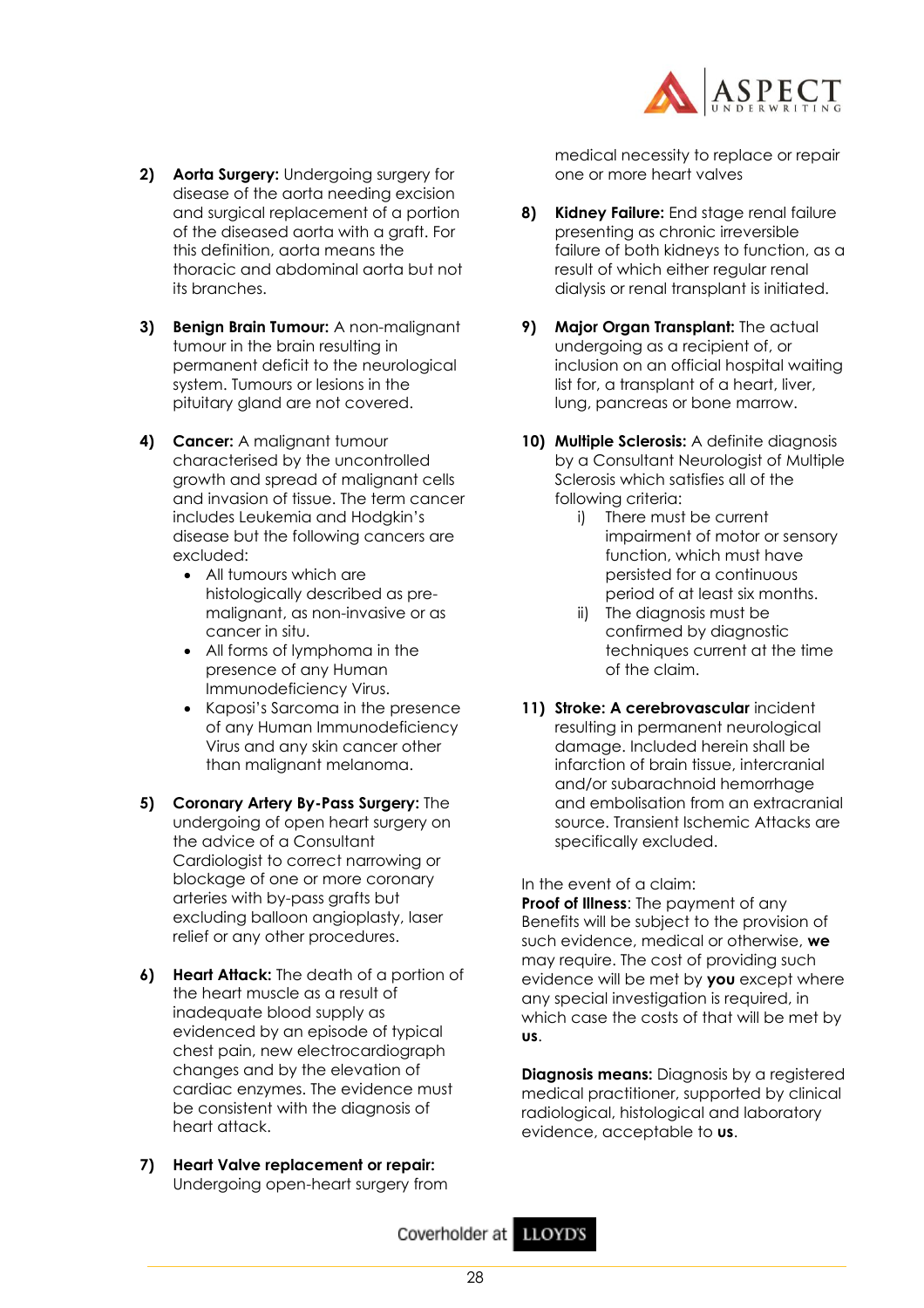

- **2) Aorta Surgery:** Undergoing surgery for disease of the aorta needing excision and surgical replacement of a portion of the diseased aorta with a graft. For this definition, aorta means the thoracic and abdominal aorta but not its branches.
- **3) Benign Brain Tumour:** A non-malignant tumour in the brain resulting in permanent deficit to the neurological system. Tumours or lesions in the pituitary gland are not covered.
- **4) Cancer:** A malignant tumour characterised by the uncontrolled growth and spread of malignant cells and invasion of tissue. The term cancer includes Leukemia and Hodgkin's disease but the following cancers are excluded:
	- All tumours which are histologically described as premalignant, as non-invasive or as cancer in situ.
	- All forms of lymphoma in the presence of any Human Immunodeficiency Virus.
	- Kaposi's Sarcoma in the presence of any Human Immunodeficiency Virus and any skin cancer other than malignant melanoma.
- **5) Coronary Artery By-Pass Surgery:** The undergoing of open heart surgery on the advice of a Consultant Cardiologist to correct narrowing or blockage of one or more coronary arteries with by-pass grafts but excluding balloon angioplasty, laser relief or any other procedures.
- **6) Heart Attack:** The death of a portion of the heart muscle as a result of inadequate blood supply as evidenced by an episode of typical chest pain, new electrocardiograph changes and by the elevation of cardiac enzymes. The evidence must be consistent with the diagnosis of heart attack.
- **7) Heart Valve replacement or repair:** Undergoing open-heart surgery from

medical necessity to replace or repair one or more heart valves

- **8) Kidney Failure:** End stage renal failure presenting as chronic irreversible failure of both kidneys to function, as a result of which either regular renal dialysis or renal transplant is initiated.
- **9) Major Organ Transplant:** The actual undergoing as a recipient of, or inclusion on an official hospital waiting list for, a transplant of a heart, liver, lung, pancreas or bone marrow.
- **10) Multiple Sclerosis:** A definite diagnosis by a Consultant Neurologist of Multiple Sclerosis which satisfies all of the following criteria:
	- i) There must be current impairment of motor or sensory function, which must have persisted for a continuous period of at least six months.
	- ii) The diagnosis must be confirmed by diagnostic techniques current at the time of the claim.
- **11) Stroke: A cerebrovascular** incident resulting in permanent neurological damage. Included herein shall be infarction of brain tissue, intercranial and/or subarachnoid hemorrhage and embolisation from an extracranial source. Transient Ischemic Attacks are specifically excluded.

In the event of a claim:

**Proof of Illness**: The payment of any Benefits will be subject to the provision of such evidence, medical or otherwise, **we** may require. The cost of providing such evidence will be met by **you** except where any special investigation is required, in which case the costs of that will be met by **us**.

**Diagnosis means:** Diagnosis by a registered medical practitioner, supported by clinical radiological, histological and laboratory evidence, acceptable to **us**.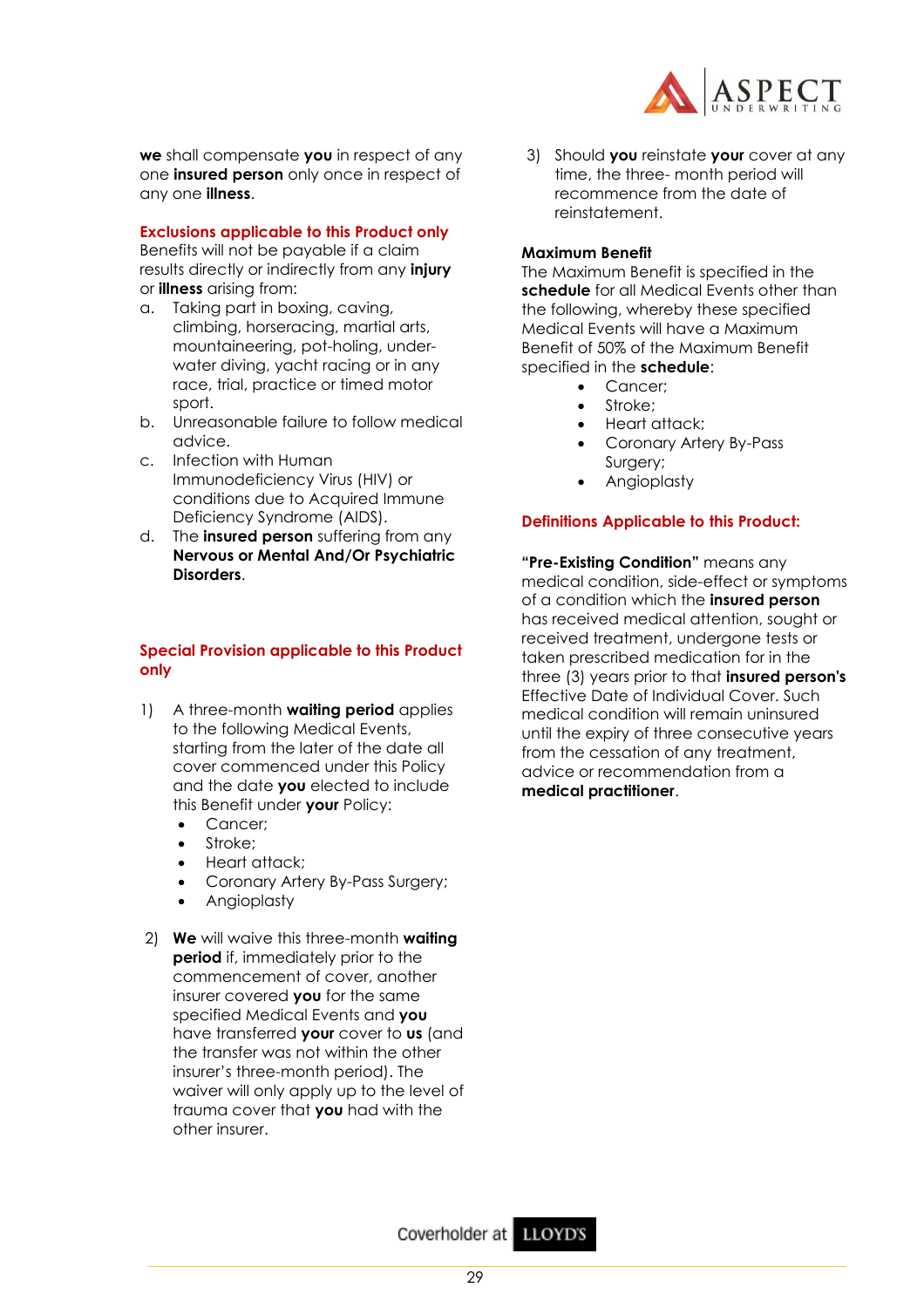**we** shall compensate **you** in respect of any one **insured person** only once in respect of any one **illness**.

## **Exclusions applicable to this Product only**

Benefits will not be payable if a claim results directly or indirectly from any **injury** or **illness** arising from:

- a. Taking part in boxing, caving, climbing, horseracing, martial arts, mountaineering, pot-holing, underwater diving, yacht racing or in any race, trial, practice or timed motor sport.
- b. Unreasonable failure to follow medical advice.
- c. Infection with Human Immunodeficiency Virus (HIV) or conditions due to Acquired Immune Deficiency Syndrome (AIDS).
- d. The **insured person** suffering from any **Nervous or Mental And/Or Psychiatric Disorders**.

## **Special Provision applicable to this Product only**

- 1) A three-month **waiting period** applies to the following Medical Events, starting from the later of the date all cover commenced under this Policy and the date **you** elected to include this Benefit under **your** Policy:
	- Cancer;
	- Stroke:
	- Heart attack;
	- Coronary Artery By-Pass Surgery;
	- Angioplasty
- 2) **We** will waive this three-month **waiting period** if, immediately prior to the commencement of cover, another insurer covered **you** for the same specified Medical Events and **you** have transferred **your** cover to **us** (and the transfer was not within the other insurer's three-month period). The waiver will only apply up to the level of trauma cover that **you** had with the other insurer.



3) Should **you** reinstate **your** cover at any time, the three- month period will recommence from the date of reinstatement.

## **Maximum Benefit**

The Maximum Benefit is specified in the **schedule** for all Medical Events other than the following, whereby these specified Medical Events will have a Maximum Benefit of 50% of the Maximum Benefit specified in the **schedule**:

- Cancer;
- Stroke:
- Heart attack;
- Coronary Artery By-Pass Surgery;
- Angioplasty

## **Definitions Applicable to this Product:**

**"Pre-Existing Condition"** means any medical condition, side-effect or symptoms of a condition which the **insured person** has received medical attention, sought or received treatment, undergone tests or taken prescribed medication for in the three (3) years prior to that **insured person's** Effective Date of Individual Cover. Such medical condition will remain uninsured until the expiry of three consecutive years from the cessation of any treatment, advice or recommendation from a **medical practitioner**.

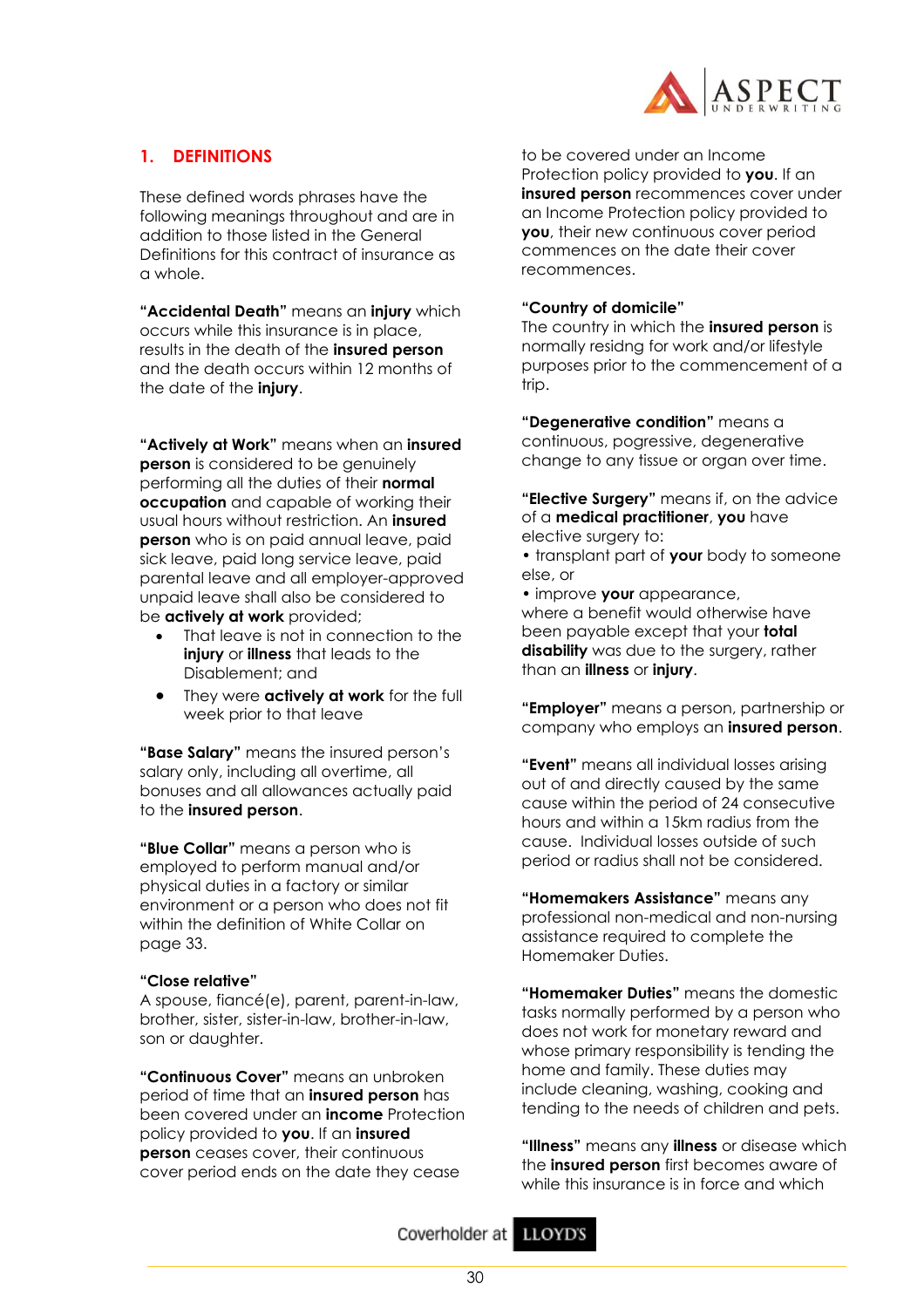

## **1. DEFINITIONS**

These defined words phrases have the following meanings throughout and are in addition to those listed in the General Definitions for this contract of insurance as a whole.

**"Accidental Death"** means an **injury** which occurs while this insurance is in place, results in the death of the **insured person** and the death occurs within 12 months of the date of the **injury**.

**"Actively at Work"** means when an **insured person** is considered to be genuinely performing all the duties of their **normal occupation** and capable of working their usual hours without restriction. An **insured person** who is on paid annual leave, paid sick leave, paid long service leave, paid parental leave and all employer-approved unpaid leave shall also be considered to be **actively at work** provided;

- That leave is not in connection to the **injury** or **illness** that leads to the Disablement; and
- They were **actively at work** for the full week prior to that leave

**"Base Salary"** means the insured person's salary only, including all overtime, all bonuses and all allowances actually paid to the **insured person**.

**"Blue Collar"** means a person who is employed to perform manual and/or physical duties in a factory or similar environment or a person who does not fit within the definition of White Collar on page 33.

#### **"Close relative"**

A spouse, fiancé(e), parent, parent-in-law, brother, sister, sister-in-law, brother-in-law, son or daughter.

**"Continuous Cover"** means an unbroken period of time that an **insured person** has been covered under an **income** Protection policy provided to **you**. If an **insured person** ceases cover, their continuous cover period ends on the date they cease

to be covered under an Income Protection policy provided to **you**. If an **insured person** recommences cover under an Income Protection policy provided to **you**, their new continuous cover period commences on the date their cover recommences.

#### **"Country of domicile"**

The country in which the **insured person** is normally residng for work and/or lifestyle purposes prior to the commencement of a trip.

**"Degenerative condition"** means a continuous, pogressive, degenerative change to any tissue or organ over time.

**"Elective Surgery"** means if, on the advice of a **medical practitioner**, **you** have elective surgery to:

• transplant part of **your** body to someone else, or

• improve **your** appearance, where a benefit would otherwise have been payable except that your **total disability** was due to the surgery, rather than an **illness** or **injury**.

**"Employer"** means a person, partnership or company who employs an **insured person**.

**"Event"** means all individual losses arising out of and directly caused by the same cause within the period of 24 consecutive hours and within a 15km radius from the cause. Individual losses outside of such period or radius shall not be considered.

**"Homemakers Assistance"** means any professional non-medical and non-nursing assistance required to complete the Homemaker Duties.

**"Homemaker Duties"** means the domestic tasks normally performed by a person who does not work for monetary reward and whose primary responsibility is tending the home and family. These duties may include cleaning, washing, cooking and tending to the needs of children and pets.

**"Illness"** means any **illness** or disease which the **insured person** first becomes aware of while this insurance is in force and which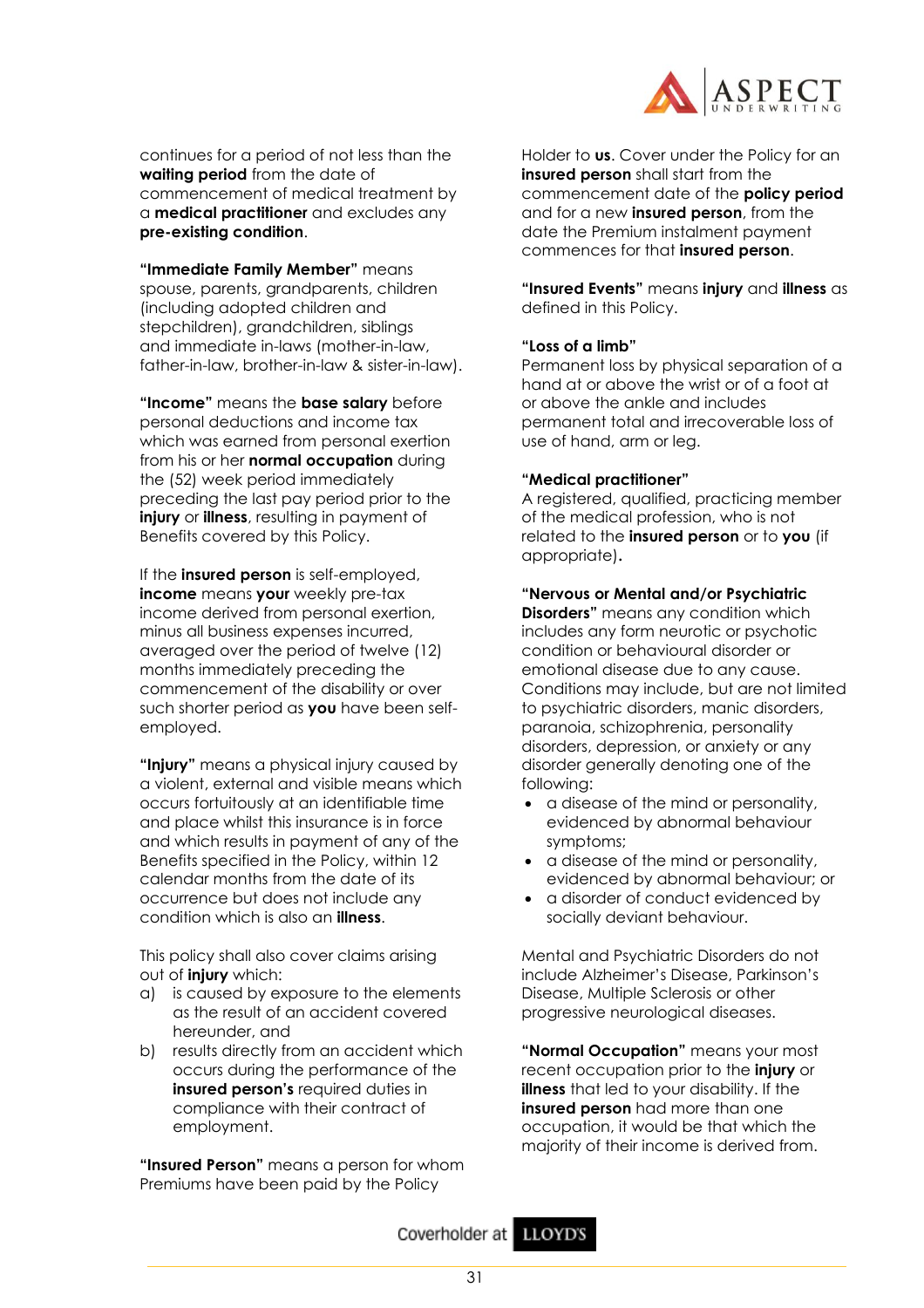

continues for a period of not less than the **waiting period** from the date of commencement of medical treatment by a **medical practitioner** and excludes any **pre-existing condition**.

**"Immediate Family Member"** means spouse, parents, grandparents, children (including adopted children and stepchildren), grandchildren, siblings and immediate in-laws (mother-in-law, father-in-law, brother-in-law & sister-in-law).

**"Income"** means the **base salary** before personal deductions and income tax which was earned from personal exertion from his or her **normal occupation** during the (52) week period immediately preceding the last pay period prior to the **injury** or **illness**, resulting in payment of Benefits covered by this Policy.

If the **insured person** is self-employed, **income** means **your** weekly pre-tax income derived from personal exertion, minus all business expenses incurred, averaged over the period of twelve (12) months immediately preceding the commencement of the disability or over such shorter period as **you** have been selfemployed.

**"Injury"** means a physical injury caused by a violent, external and visible means which occurs fortuitously at an identifiable time and place whilst this insurance is in force and which results in payment of any of the Benefits specified in the Policy, within 12 calendar months from the date of its occurrence but does not include any condition which is also an **illness**.

This policy shall also cover claims arising out of **injury** which:

- a) is caused by exposure to the elements as the result of an accident covered hereunder, and
- b) results directly from an accident which occurs during the performance of the **insured person's** required duties in compliance with their contract of employment.

**"Insured Person"** means a person for whom Premiums have been paid by the Policy

Holder to **us**. Cover under the Policy for an **insured person** shall start from the commencement date of the **policy period** and for a new **insured person**, from the date the Premium instalment payment commences for that **insured person**.

**"Insured Events"** means **injury** and **illness** as defined in this Policy.

## **"Loss of a limb"**

Permanent loss by physical separation of a hand at or above the wrist or of a foot at or above the ankle and includes permanent total and irrecoverable loss of use of hand, arm or leg.

## **"Medical practitioner"**

A registered, qualified, practicing member of the medical profession, who is not related to the **insured person** or to **you** (if appropriate)**.** 

## **"Nervous or Mental and/or Psychiatric**

**Disorders"** means any condition which includes any form neurotic or psychotic condition or behavioural disorder or emotional disease due to any cause. Conditions may include, but are not limited to psychiatric disorders, manic disorders, paranoia, schizophrenia, personality disorders, depression, or anxiety or any disorder generally denoting one of the following:

- a disease of the mind or personality, evidenced by abnormal behaviour symptoms;
- a disease of the mind or personality, evidenced by abnormal behaviour; or
- a disorder of conduct evidenced by socially deviant behaviour.

Mental and Psychiatric Disorders do not include Alzheimer's Disease, Parkinson's Disease, Multiple Sclerosis or other progressive neurological diseases.

**"Normal Occupation"** means your most recent occupation prior to the **injury** or **illness** that led to your disability. If the **insured person** had more than one occupation, it would be that which the majority of their income is derived from.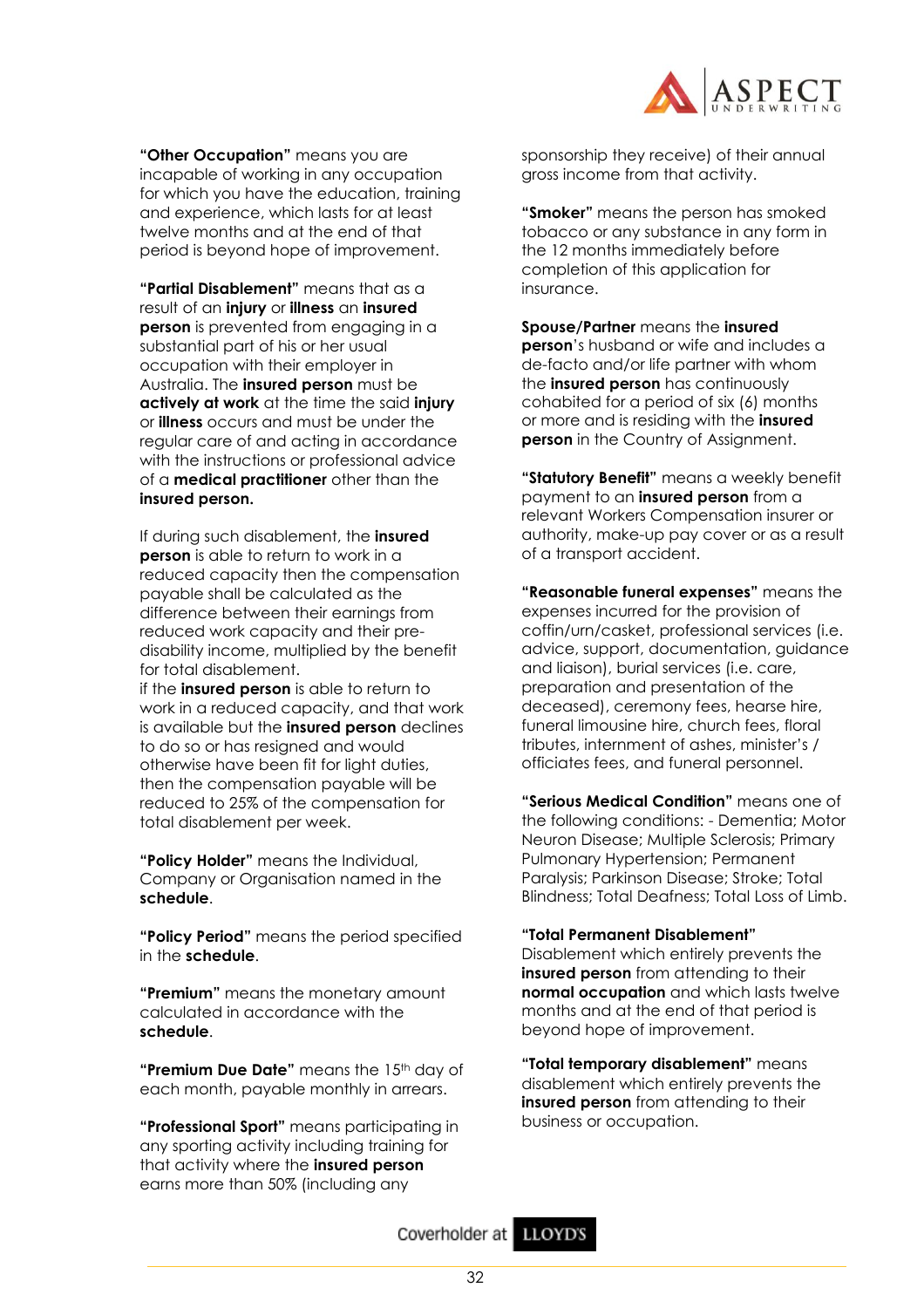

**"Other Occupation"** means you are incapable of working in any occupation for which you have the education, training and experience, which lasts for at least twelve months and at the end of that period is beyond hope of improvement.

**"Partial Disablement"** means that as a result of an **injury** or **illness** an **insured person** is prevented from engaging in a substantial part of his or her usual occupation with their employer in Australia. The **insured person** must be **actively at work** at the time the said **injury** or **illness** occurs and must be under the regular care of and acting in accordance with the instructions or professional advice of a **medical practitioner** other than the **insured person.** 

If during such disablement, the **insured person** is able to return to work in a reduced capacity then the compensation payable shall be calculated as the difference between their earnings from reduced work capacity and their predisability income, multiplied by the benefit for total disablement.

if the **insured person** is able to return to work in a reduced capacity, and that work is available but the **insured person** declines to do so or has resigned and would otherwise have been fit for light duties, then the compensation payable will be reduced to 25% of the compensation for total disablement per week.

**"Policy Holder"** means the Individual, Company or Organisation named in the **schedule**.

**"Policy Period"** means the period specified in the **schedule**.

**"Premium"** means the monetary amount calculated in accordance with the **schedule**.

**"Premium Due Date"** means the 15<sup>th</sup> day of each month, payable monthly in arrears.

**"Professional Sport"** means participating in any sporting activity including training for that activity where the **insured person** earns more than 50% (including any

sponsorship they receive) of their annual gross income from that activity.

**"Smoker"** means the person has smoked tobacco or any substance in any form in the 12 months immediately before completion of this application for insurance.

**Spouse/Partner** means the **insured person**'s husband or wife and includes a de-facto and/or life partner with whom the **insured person** has continuously cohabited for a period of six (6) months or more and is residing with the **insured person** in the Country of Assignment.

**"Statutory Benefit"** means a weekly benefit payment to an **insured person** from a relevant Workers Compensation insurer or authority, make-up pay cover or as a result of a transport accident.

**"Reasonable funeral expenses"** means the expenses incurred for the provision of coffin/urn/casket, professional services (i.e. advice, support, documentation, guidance and liaison), burial services (i.e. care, preparation and presentation of the deceased), ceremony fees, hearse hire, funeral limousine hire, church fees, floral tributes, internment of ashes, minister's / officiates fees, and funeral personnel.

**"Serious Medical Condition"** means one of the following conditions: - Dementia; Motor Neuron Disease; Multiple Sclerosis; Primary Pulmonary Hypertension; Permanent Paralysis; Parkinson Disease; Stroke; Total Blindness; Total Deafness; Total Loss of Limb.

**"Total Permanent Disablement"** 

Disablement which entirely prevents the **insured person** from attending to their **normal occupation** and which lasts twelve months and at the end of that period is beyond hope of improvement.

**"Total temporary disablement"** means disablement which entirely prevents the **insured person** from attending to their business or occupation.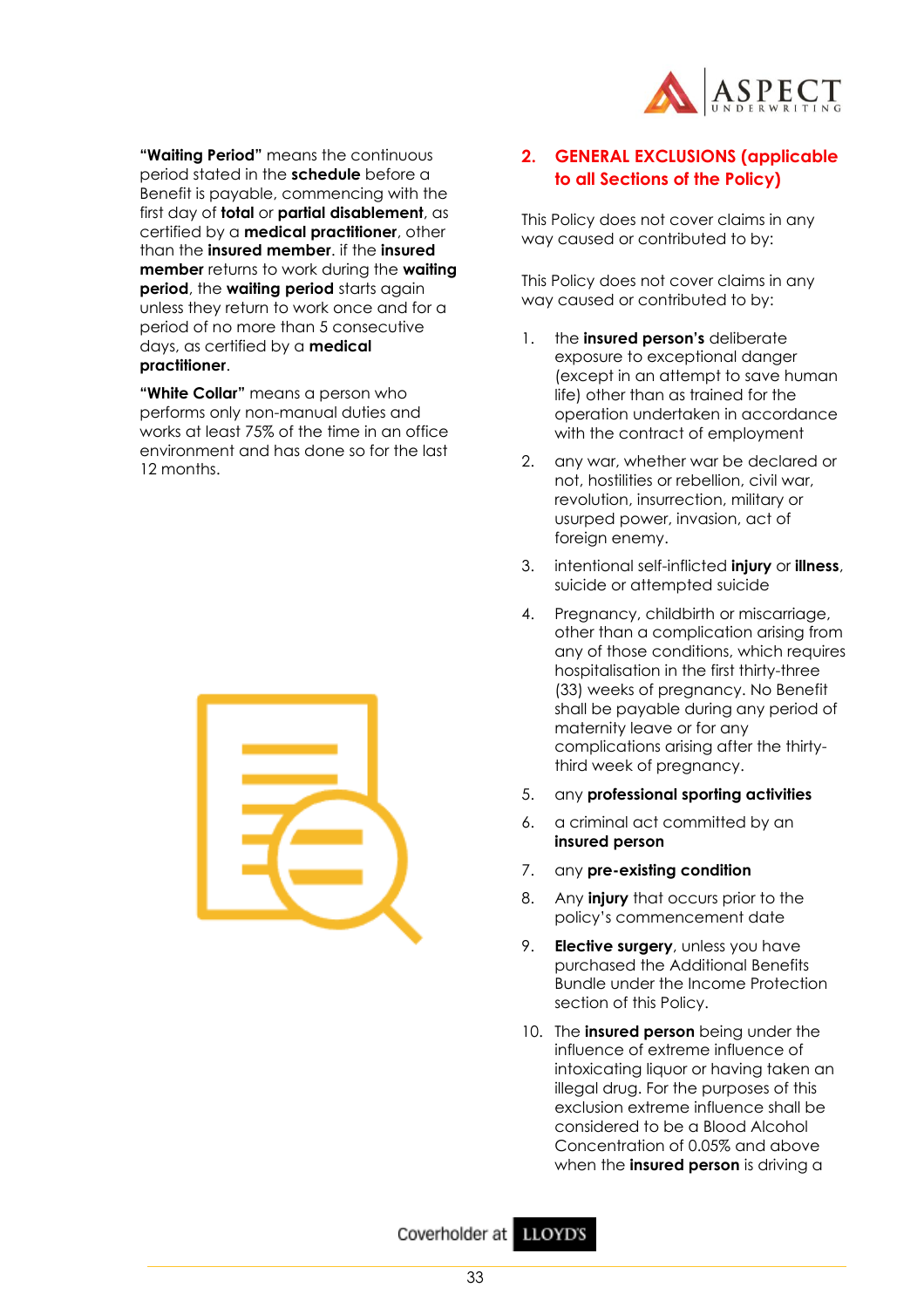

**"Waiting Period"** means the continuous period stated in the **schedule** before a Benefit is payable, commencing with the first day of **total** or **partial disablement**, as certified by a **medical practitioner**, other than the **insured member**. if the **insured member** returns to work during the **waiting period**, the **waiting period** starts again unless they return to work once and for a period of no more than 5 consecutive days, as certified by a **medical practitioner**.

**"White Collar"** means a person who performs only non-manual duties and works at least 75% of the time in an office environment and has done so for the last 12 months.



## **2. GENERAL EXCLUSIONS (applicable to all Sections of the Policy)**

This Policy does not cover claims in any way caused or contributed to by:

This Policy does not cover claims in any way caused or contributed to by:

- 1. the **insured person's** deliberate exposure to exceptional danger (except in an attempt to save human life) other than as trained for the operation undertaken in accordance with the contract of employment
- 2. any war, whether war be declared or not, hostilities or rebellion, civil war, revolution, insurrection, military or usurped power, invasion, act of foreign enemy.
- 3. intentional self-inflicted **injury** or **illness**, suicide or attempted suicide
- 4. Pregnancy, childbirth or miscarriage, other than a complication arising from any of those conditions, which requires hospitalisation in the first thirty-three (33) weeks of pregnancy. No Benefit shall be payable during any period of maternity leave or for any complications arising after the thirtythird week of pregnancy.
- 5. any **professional sporting activities**
- 6. a criminal act committed by an **insured person**
- 7. any **pre-existing condition**
- 8. Any **injury** that occurs prior to the policy's commencement date
- 9. **Elective surgery**, unless you have purchased the Additional Benefits Bundle under the Income Protection section of this Policy.
- 10. The **insured person** being under the influence of extreme influence of intoxicating liquor or having taken an illegal drug. For the purposes of this exclusion extreme influence shall be considered to be a Blood Alcohol Concentration of 0.05% and above when the **insured person** is driving a

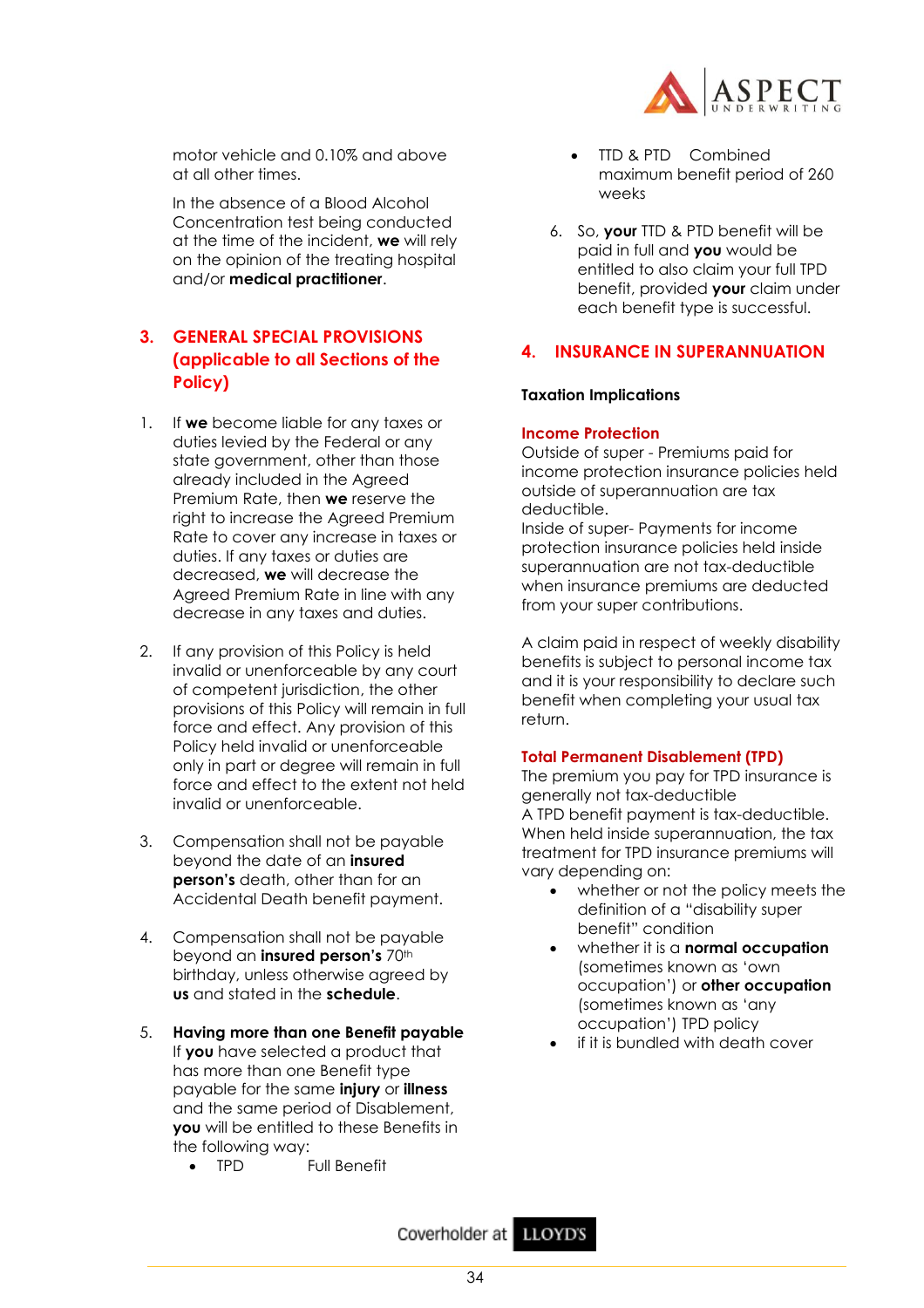

motor vehicle and 0.10% and above at all other times.

In the absence of a Blood Alcohol Concentration test being conducted at the time of the incident, **we** will rely on the opinion of the treating hospital and/or **medical practitioner**.

## **3. GENERAL SPECIAL PROVISIONS (applicable to all Sections of the Policy)**

- 1. If **we** become liable for any taxes or duties levied by the Federal or any state government, other than those already included in the Agreed Premium Rate, then **we** reserve the right to increase the Agreed Premium Rate to cover any increase in taxes or duties. If any taxes or duties are decreased, **we** will decrease the Agreed Premium Rate in line with any decrease in any taxes and duties.
- 2. If any provision of this Policy is held invalid or unenforceable by any court of competent jurisdiction, the other provisions of this Policy will remain in full force and effect. Any provision of this Policy held invalid or unenforceable only in part or degree will remain in full force and effect to the extent not held invalid or unenforceable.
- 3. Compensation shall not be payable beyond the date of an **insured person's** death, other than for an Accidental Death benefit payment.
- 4. Compensation shall not be payable beyond an *insured* person's 70<sup>th</sup> birthday, unless otherwise agreed by **us** and stated in the **schedule**.
- 5. **Having more than one Benefit payable** If **you** have selected a product that has more than one Benefit type payable for the same **injury** or **illness** and the same period of Disablement, **you** will be entitled to these Benefits in the following way:
	- TPD Full Benefit
- TTD & PTD Combined maximum benefit period of 260 weeks
- 6. So, **your** TTD & PTD benefit will be paid in full and **you** would be entitled to also claim your full TPD benefit, provided **your** claim under each benefit type is successful.

## **4. INSURANCE IN SUPERANNUATION**

## **Taxation Implications**

## **Income Protection**

Outside of super - Premiums paid for income protection insurance policies held outside of superannuation are tax deductible.

Inside of super- Payments for income protection insurance policies held inside superannuation are not tax-deductible when insurance premiums are deducted from your super contributions.

A claim paid in respect of weekly disability benefits is subject to personal income tax and it is your responsibility to declare such benefit when completing your usual tax return.

## **Total Permanent Disablement (TPD)**

The premium you pay for TPD insurance is generally not tax-deductible A TPD benefit payment is tax-deductible. When held inside superannuation, the tax treatment for TPD insurance premiums will vary depending on:

- whether or not the policy meets the definition of a "disability super benefit" condition
- whether it is a **normal occupation** (sometimes known as 'own occupation') or **other occupation** (sometimes known as 'any occupation') TPD policy
- if it is bundled with death cover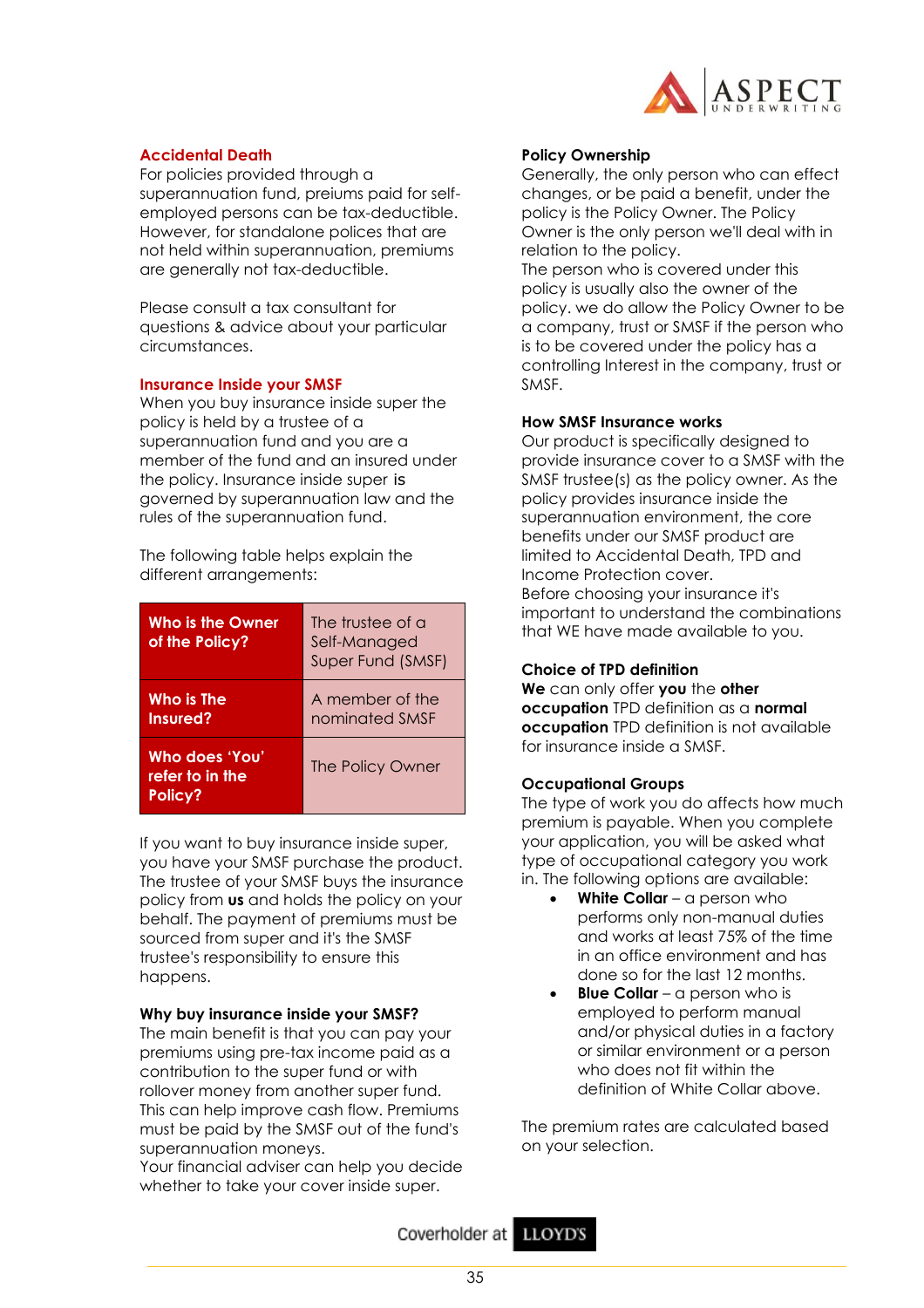

## **Accidental Death**

For policies provided through a superannuation fund, preiums paid for selfemployed persons can be tax-deductible. However, for standalone polices that are not held within superannuation, premiums are generally not tax-deductible.

Please consult a tax consultant for questions & advice about your particular circumstances.

## **Insurance Inside your SMSF**

When you buy insurance inside super the policy is held by a trustee of a superannuation fund and you are a member of the fund and an insured under the policy. Insurance inside super is governed by superannuation law and the rules of the superannuation fund.

The following table helps explain the different arrangements:

| Who is the Owner<br>of the Policy?           | The trustee of a<br>Self-Managed<br>Super Fund (SMSF) |
|----------------------------------------------|-------------------------------------------------------|
| Who is The<br>Insured?                       | A member of the<br>nominated SMSF                     |
| Who does 'You'<br>refer to in the<br>Policy? | The Policy Owner                                      |

If you want to buy insurance inside super, you have your SMSF purchase the product. The trustee of your SMSF buys the insurance policy from **us** and holds the policy on your behalf. The payment of premiums must be sourced from super and it's the SMSF trustee's responsibility to ensure this happens.

#### **Why buy insurance inside your SMSF?**

The main benefit is that you can pay your premiums using pre-tax income paid as a contribution to the super fund or with rollover money from another super fund. This can help improve cash flow. Premiums must be paid by the SMSF out of the fund's superannuation moneys.

Your financial adviser can help you decide whether to take your cover inside super.

#### **Policy Ownership**

Generally, the only person who can effect changes, or be paid a benefit, under the policy is the Policy Owner. The Policy Owner is the only person we'll deal with in relation to the policy.

The person who is covered under this policy is usually also the owner of the policy. we do allow the Policy Owner to be a company, trust or SMSF if the person who is to be covered under the policy has a controlling Interest in the company, trust or SMSF.

#### **How SMSF Insurance works**

Our product is specifically designed to provide insurance cover to a SMSF with the SMSF trustee(s) as the policy owner. As the policy provides insurance inside the superannuation environment, the core benefits under our SMSF product are limited to Accidental Death, TPD and Income Protection cover. Before choosing your insurance it's important to understand the combinations that WE have made available to you.

## **Choice of TPD definition**

**We** can only offer **you** the **other occupation** TPD definition as a **normal occupation** TPD definition is not available for insurance inside a SMSF.

## **Occupational Groups**

The type of work you do affects how much premium is payable. When you complete your application, you will be asked what type of occupational category you work in. The following options are available:

- **White Collar** a person who performs only non-manual duties and works at least 75% of the time in an office environment and has done so for the last 12 months.
- **Blue Collar** a person who is employed to perform manual and/or physical duties in a factory or similar environment or a person who does not fit within the definition of White Collar above.

The premium rates are calculated based on your selection.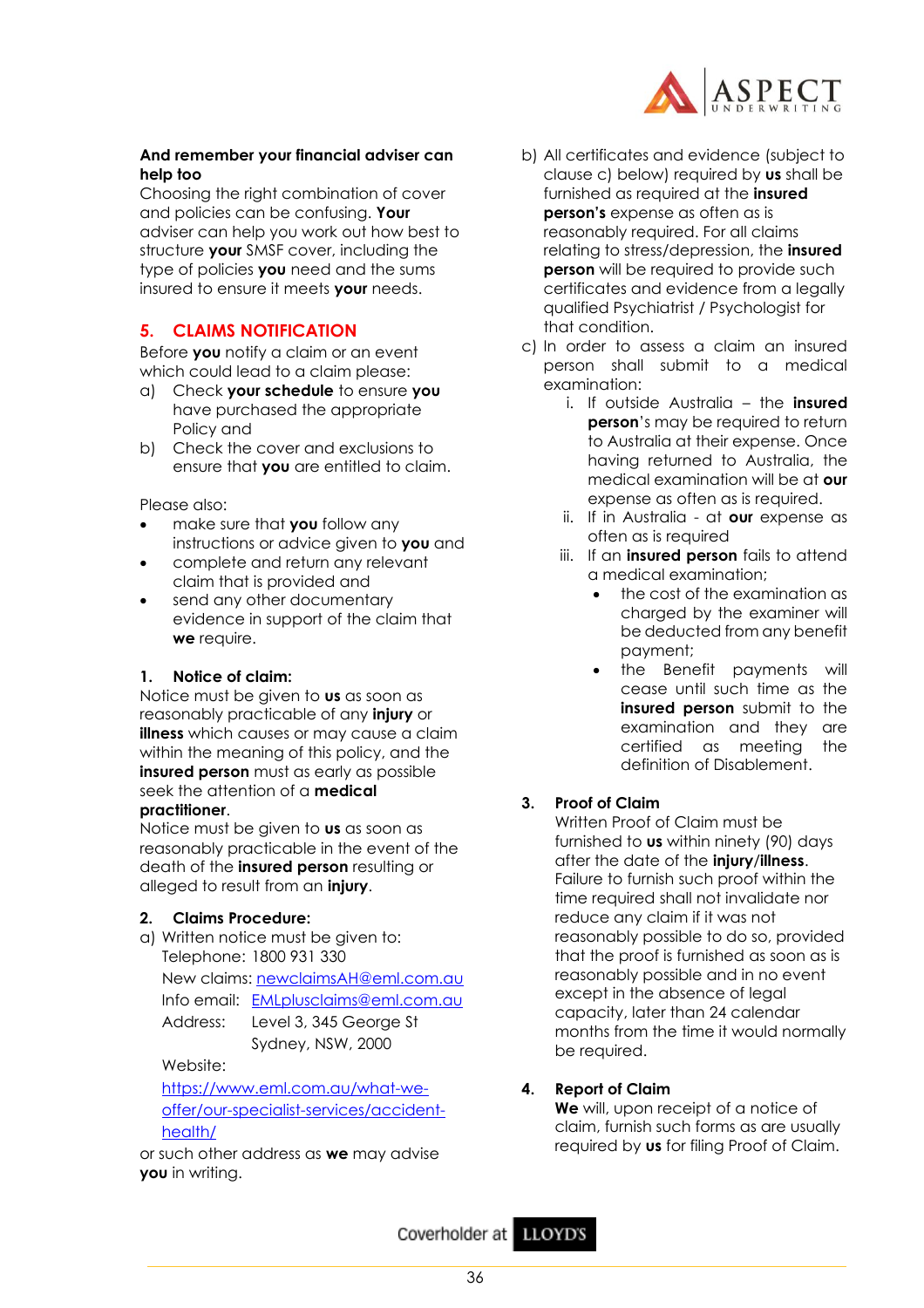

## **And remember your financial adviser can help too**

Choosing the right combination of cover and policies can be confusing. **Your** adviser can help you work out how best to structure **your** SMSF cover, including the type of policies **you** need and the sums insured to ensure it meets **your** needs.

## **5. CLAIMS NOTIFICATION**

Before **you** notify a claim or an event which could lead to a claim please:

- a) Check **your schedule** to ensure **you**  have purchased the appropriate Policy and
- b) Check the cover and exclusions to ensure that **you** are entitled to claim.

Please also:

- make sure that **you** follow any instructions or advice given to **you** and
- complete and return any relevant claim that is provided and
- send any other documentary evidence in support of the claim that **we** require.

## **1. Notice of claim:**

Notice must be given to **us** as soon as reasonably practicable of any **injury** or **illness** which causes or may cause a claim within the meaning of this policy, and the **insured person** must as early as possible seek the attention of a **medical practitioner**.

Notice must be given to **us** as soon as reasonably practicable in the event of the death of the **insured person** resulting or alleged to result from an **injury**.

## **2. Claims Procedure:**

a) Written notice must be given to: Telephone: 1800 931 330 New claims: [newclaimsAH@eml.com.au](mailto:newclaimsAH@eml.com.au) Info email: [EMLplusclaims@eml.com.au](mailto:EMLplusclaims@eml.com.au) Address: Level 3, 345 George St Sydney, NSW, 2000

Website:

[https://www.eml.com.au/what-we](https://www.eml.com.au/what-we-offer/our-specialist-services/accident-health/)[offer/our-specialist-services/accident](https://www.eml.com.au/what-we-offer/our-specialist-services/accident-health/)[health/](https://www.eml.com.au/what-we-offer/our-specialist-services/accident-health/)

or such other address as **we** may advise **you** in writing.

- b) All certificates and evidence (subject to clause c) below) required by **us** shall be furnished as required at the **insured person's** expense as often as is reasonably required. For all claims relating to stress/depression, the **insured person** will be required to provide such certificates and evidence from a legally qualified Psychiatrist / Psychologist for that condition.
- c) In order to assess a claim an insured person shall submit to a medical examination:
	- i. If outside Australia the **insured person**'s may be required to return to Australia at their expense. Once having returned to Australia, the medical examination will be at **our** expense as often as is required.
	- ii. If in Australia at **our** expense as often as is required
	- iii. If an **insured person** fails to attend a medical examination;
		- the cost of the examination as charged by the examiner will be deducted from any benefit payment;
		- the Benefit payments will cease until such time as the **insured person** submit to the examination and they are certified as meeting the definition of Disablement.

## **3. Proof of Claim**

Written Proof of Claim must be furnished to **us** within ninety (90) days after the date of the **injury**/**illness**. Failure to furnish such proof within the time required shall not invalidate nor reduce any claim if it was not reasonably possible to do so, provided that the proof is furnished as soon as is reasonably possible and in no event except in the absence of legal capacity, later than 24 calendar months from the time it would normally be required.

## **4. Report of Claim**

**We** will, upon receipt of a notice of claim, furnish such forms as are usually required by **us** for filing Proof of Claim.